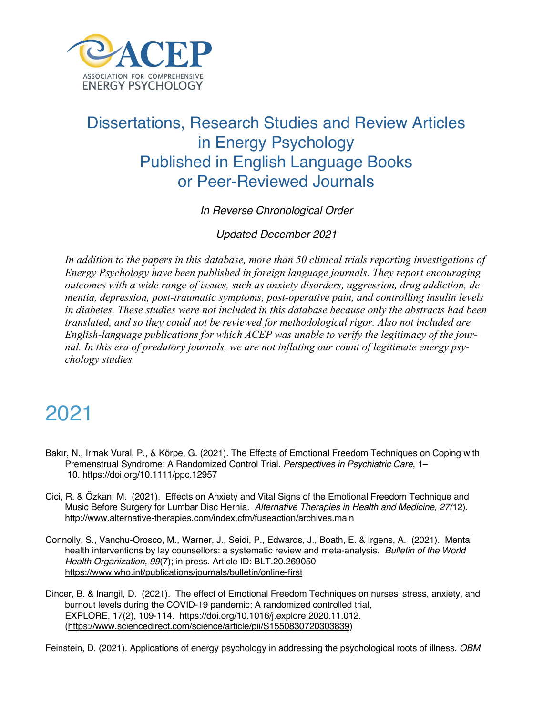

#### Dissertations, Research Studies and Review Articles in Energy Psychology Published in English Language Books or Peer-Reviewed Journals

*In Reverse Chronological Order*

*Updated December 2021*

*In addition to the papers in this database, more than 50 clinical trials reporting investigations of Energy Psychology have been published in foreign language journals. They report encouraging outcomes with a wide range of issues, such as anxiety disorders, aggression, drug addiction, dementia, depression, post-traumatic symptoms, post-operative pain, and controlling insulin levels in diabetes. These studies were not included in this database because only the abstracts had been translated, and so they could not be reviewed for methodological rigor. Also not included are English-language publications for which ACEP was unable to verify the legitimacy of the journal. In this era of predatory journals, we are not inflating our count of legitimate energy psychology studies.*

# 2021

- Bakır, N., Irmak Vural, P., & Körpe, G. (2021). The Effects of Emotional Freedom Techniques on Coping with Premenstrual Syndrome: A Randomized Control Trial. *Perspectives in Psychiatric Care*, 1– 10. https://doi.org/10.1111/ppc.12957
- Cici, R. & Özkan, M. (2021). Effects on Anxiety and Vital Signs of the Emotional Freedom Technique and Music Before Surgery for Lumbar Disc Hernia. *Alternative Therapies in Health and Medicine, 27(*12). http://www.alternative-therapies.com/index.cfm/fuseaction/archives.main
- Connolly, S., Vanchu-Orosco, M., Warner, J., Seidi, P., Edwards, J., Boath, E. & Irgens, A. (2021). Mental health interventions by lay counsellors: a systematic review and meta-analysis. *Bulletin of the World Health Organization, 99*(7); in press. Article ID: BLT.20.269050 https://www.who.int/publications/journals/bulletin/online-first
- Dincer, B. & Inangil, D. (2021). The effect of Emotional Freedom Techniques on nurses' stress, anxiety, and burnout levels during the COVID-19 pandemic: A randomized controlled trial, EXPLORE, 17(2), 109-114. https://doi.org/10.1016/j.explore.2020.11.012. (https://www.sciencedirect.com/science/article/pii/S1550830720303839)

Feinstein, D. (2021). Applications of energy psychology in addressing the psychological roots of illness. *OBM*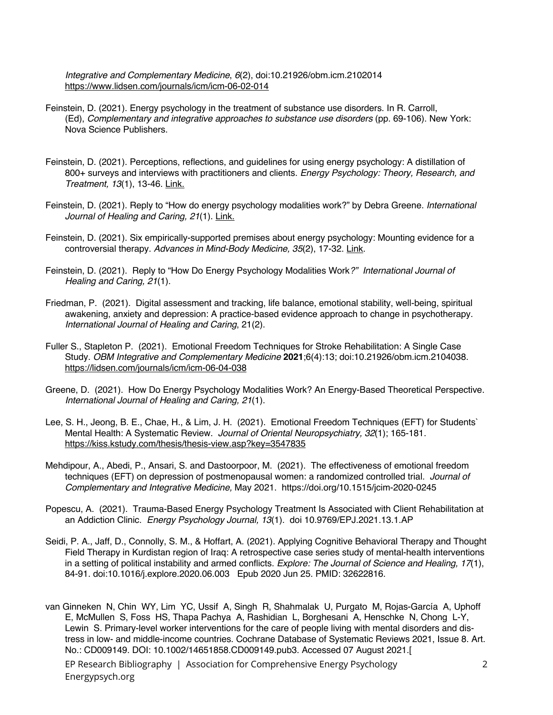*Integrative and Complementary Medicine*, *6*(2), doi:10.21926/obm.icm.2102014 https://www.lidsen.com/journals/icm/icm-06-02-014

- Feinstein, D. (2021). Energy psychology in the treatment of substance use disorders. In R. Carroll, (Ed), *Complementary and integrative approaches to substance use disorders* (pp. 69-106). New York: Nova Science Publishers.
- Feinstein, D. (2021). Perceptions, reflections, and guidelines for using energy psychology: A distillation of 800+ surveys and interviews with practitioners and clients. *Energy Psychology: Theory, Research, and Treatment, 13*(1), 13-46. Link.
- Feinstein, D. (2021). Reply to "How do energy psychology modalities work?" by Debra Greene. *International Journal of Healing and Caring, 21*(1). Link.
- Feinstein, D. (2021). Six empirically-supported premises about energy psychology: Mounting evidence for a controversial therapy. *Advances in Mind-Body Medicine, 35*(2), 17-32. Link.
- Feinstein, D. (2021). Reply to "How Do Energy Psychology Modalities Work*?" International Journal of Healing and Caring, 21*(1).
- Friedman, P. (2021). Digital assessment and tracking, life balance, emotional stability, well-being, spiritual awakening, anxiety and depression: A practice-based evidence approach to change in psychotherapy. *International Journal of Healing and Caring*, 21(2).
- Fuller S., Stapleton P. (2021). Emotional Freedom Techniques for Stroke Rehabilitation: A Single Case Study. *OBM Integrative and Complementary Medicine* **2021**;6(4):13; doi:10.21926/obm.icm.2104038. https://lidsen.com/journals/icm/icm-06-04-038
- Greene, D. (2021). How Do Energy Psychology Modalities Work? An Energy-Based Theoretical Perspective. *International Journal of Healing and Caring, 21*(1).
- Lee, S. H., Jeong, B. E., Chae, H., & Lim, J. H. (2021). Emotional Freedom Techniques (EFT) for Students` Mental Health: A Systematic Review. *Journal of Oriental Neuropsychiatry, 32*(1); 165-181. https://kiss.kstudy.com/thesis/thesis-view.asp?key=3547835
- Mehdipour, A., Abedi, P., Ansari, S. and Dastoorpoor, M. (2021). The effectiveness of emotional freedom techniques (EFT) on depression of postmenopausal women: a randomized controlled trial*. Journal of Complementary and Integrative Medicine,* May 2021. https://doi.org/10.1515/jcim-2020-0245
- Popescu, A. (2021). Trauma-Based Energy Psychology Treatment Is Associated with Client Rehabilitation at an Addiction Clinic. *Energy Psychology Journal, 13*(1). doi 10.9769/EPJ.2021.13.1.AP
- Seidi, P. A., Jaff, D., Connolly, S. M., & Hoffart, A. (2021). Applying Cognitive Behavioral Therapy and Thought Field Therapy in Kurdistan region of Iraq: A retrospective case series study of mental-health interventions in a setting of political instability and armed conflicts. *Explore: The Journal of Science and Healing, 17*(1), 84-91. doi:10.1016/j.explore.2020.06.003 Epub 2020 Jun 25. PMID: 32622816.
- van Ginneken N, Chin WY, Lim YC, Ussif A, Singh R, Shahmalak U, Purgato M, Rojas-García A, Uphoff E, McMullen S, Foss HS, Thapa Pachya A, Rashidian L, Borghesani A, Henschke N, Chong L-Y, Lewin S. Primary-level worker interventions for the care of people living with mental disorders and distress in low‐ and middle‐income countries. Cochrane Database of Systematic Reviews 2021, Issue 8. Art. No.: CD009149. DOI: 10.1002/14651858.CD009149.pub3. Accessed 07 August 2021.[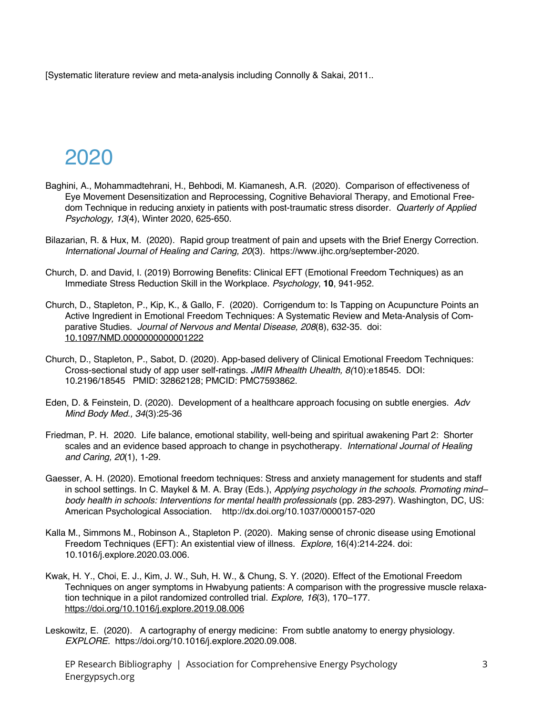[Systematic literature review and meta-analysis including Connolly & Sakai, 2011..

# 2020

- Baghini, A., Mohammadtehrani, H., Behbodi, M. Kiamanesh, A.R. (2020). Comparison of effectiveness of Eye Movement Desensitization and Reprocessing, Cognitive Behavioral Therapy, and Emotional Freedom Technique in reducing anxiety in patients with post-traumatic stress disorder*. Quarterly of Applied Psychology, 13*(4), Winter 2020, 625-650.
- Bilazarian, R. & Hux, M. (2020). Rapid group treatment of pain and upsets with the Brief Energy Correction. *International Journal of Healing and Caring, 20*(3). https://www.ijhc.org/september-2020.
- Church, D. and David, I. (2019) Borrowing Benefits: Clinical EFT (Emotional Freedom Techniques) as an Immediate Stress Reduction Skill in the Workplace. *Psychology*, **10**, 941-952.
- Church, D., Stapleton, P., Kip, K., & Gallo, F. (2020). Corrigendum to: Is Tapping on Acupuncture Points an Active Ingredient in Emotional Freedom Techniques: A Systematic Review and Meta-Analysis of Comparative Studies. *Journal of Nervous and Mental Disease, 208*(8), 632-35. doi: 10.1097/NMD.0000000000001222
- Church, D., Stapleton, P., Sabot, D. (2020). App-based delivery of Clinical Emotional Freedom Techniques: Cross-sectional study of app user self-ratings. *JMIR Mhealth Uhealth, 8(*10):e18545. DOI: 10.2196/18545 PMID: 32862128; PMCID: PMC7593862.
- Eden, D. & Feinstein, D. (2020). Development of a healthcare approach focusing on subtle energies. *Adv Mind Body Med., 34*(3):25-36
- Friedman, P. H. 2020. Life balance, emotional stability, well-being and spiritual awakening Part 2: Shorter scales and an evidence based approach to change in psychotherapy*. International Journal of Healing and Caring, 20*(1), 1-29.
- Gaesser, A. H. (2020). Emotional freedom techniques: Stress and anxiety management for students and staff in school settings. In C. Maykel & M. A. Bray (Eds.), *Applying psychology in the schools. Promoting mind– body health in schools: Interventions for mental health professionals* (pp. 283-297). Washington, DC, US: American Psychological Association. http://dx.doi.org/10.1037/0000157-020
- Kalla M., Simmons M., Robinson A., Stapleton P. (2020). Making sense of chronic disease using Emotional Freedom Techniques (EFT): An existential view of illness. *Explore,* 16(4):214-224. doi: 10.1016/j.explore.2020.03.006.
- Kwak, H. Y., Choi, E. J., Kim, J. W., Suh, H. W., & Chung, S. Y. (2020). Effect of the Emotional Freedom Techniques on anger symptoms in Hwabyung patients: A comparison with the progressive muscle relaxation technique in a pilot randomized controlled trial. *Explore, 16*(3), 170–177. https://doi.org/10.1016/j.explore.2019.08.006
- Leskowitz, E. (2020). A cartography of energy medicine: From subtle anatomy to energy physiology. *EXPLORE.* https://doi.org/10.1016/j.explore.2020.09.008.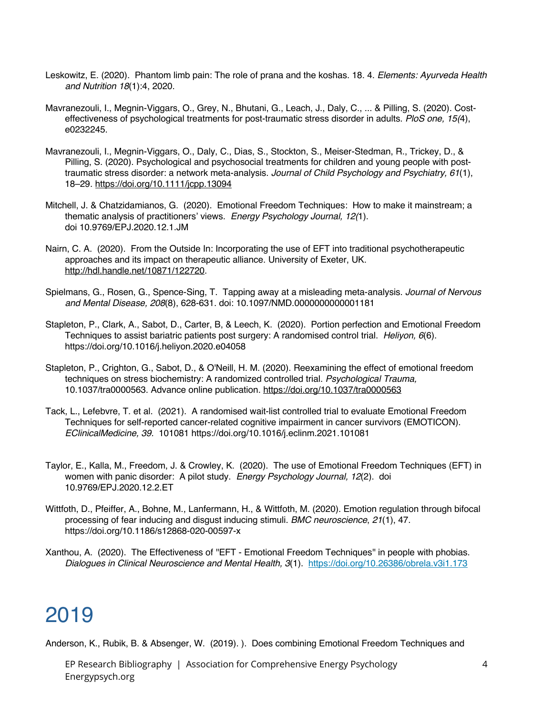- Leskowitz, E. (2020). Phantom limb pain: The role of prana and the koshas. 18. 4. *Elements: Ayurveda Health and Nutrition 18*(1):4, 2020.
- Mavranezouli, I., Megnin-Viggars, O., Grey, N., Bhutani, G., Leach, J., Daly, C., ... & Pilling, S. (2020). Costeffectiveness of psychological treatments for post-traumatic stress disorder in adults. *PloS one, 15(*4), e0232245.
- Mavranezouli, I., Megnin-Viggars, O., Daly, C., Dias, S., Stockton, S., Meiser-Stedman, R., Trickey, D., & Pilling, S. (2020). Psychological and psychosocial treatments for children and young people with posttraumatic stress disorder: a network meta-analysis. *Journal of Child Psychology and Psychiatry, 61*(1), 18–29. https://doi.org/10.1111/jcpp.13094
- Mitchell, J. & Chatzidamianos, G. (2020). Emotional Freedom Techniques: How to make it mainstream; a thematic analysis of practitioners' views. *Energy Psychology Journal, 12(*1). doi 10.9769/EPJ.2020.12.1.JM
- Nairn, C. A. (2020). From the Outside In: Incorporating the use of EFT into traditional psychotherapeutic approaches and its impact on therapeutic alliance. University of Exeter, UK. http://hdl.handle.net/10871/122720.
- Spielmans, G., Rosen, G., Spence-Sing, T. Tapping away at a misleading meta-analysis. *Journal of Nervous and Mental Disease, 208*(8), 628-631. doi: 10.1097/NMD.0000000000001181
- Stapleton, P., Clark, A., Sabot, D., Carter, B, & Leech, K. (2020). Portion perfection and Emotional Freedom Techniques to assist bariatric patients post surgery: A randomised control trial. *Heliyon, 6*(6). https://doi.org/10.1016/j.heliyon.2020.e04058
- Stapleton, P., Crighton, G., Sabot, D., & O'Neill, H. M. (2020). Reexamining the effect of emotional freedom techniques on stress biochemistry: A randomized controlled trial. *Psychological Trauma,* 10.1037/tra0000563. Advance online publication. https://doi.org/10.1037/tra0000563
- Tack, L., Lefebvre, T. et al. (2021). A randomised wait-list controlled trial to evaluate Emotional Freedom Techniques for self-reported cancer-related cognitive impairment in cancer survivors (EMOTICON). *EClinicalMedicine, 39.* 101081 https://doi.org/10.1016/j.eclinm.2021.101081
- Taylor, E., Kalla, M., Freedom, J. & Crowley, K. (2020). The use of Emotional Freedom Techniques (EFT) in women with panic disorder: A pilot study. *Energy Psychology Journal, 12*(2). doi 10.9769/EPJ.2020.12.2.ET
- Wittfoth, D., Pfeiffer, A., Bohne, M., Lanfermann, H., & Wittfoth, M. (2020). Emotion regulation through bifocal processing of fear inducing and disgust inducing stimuli. *BMC neuroscience*, *21*(1), 47. https://doi.org/10.1186/s12868-020-00597-x
- Xanthou, A. (2020). The Effectiveness of ''EFT Emotional Freedom Techniques'' in people with phobias. *Dialogues in Clinical Neuroscience and Mental Health, 3*(1). https://doi.org/10.26386/obrela.v3i1.173

Anderson, K., Rubik, B. & Absenger, W. (2019). ). Does combining Emotional Freedom Techniques and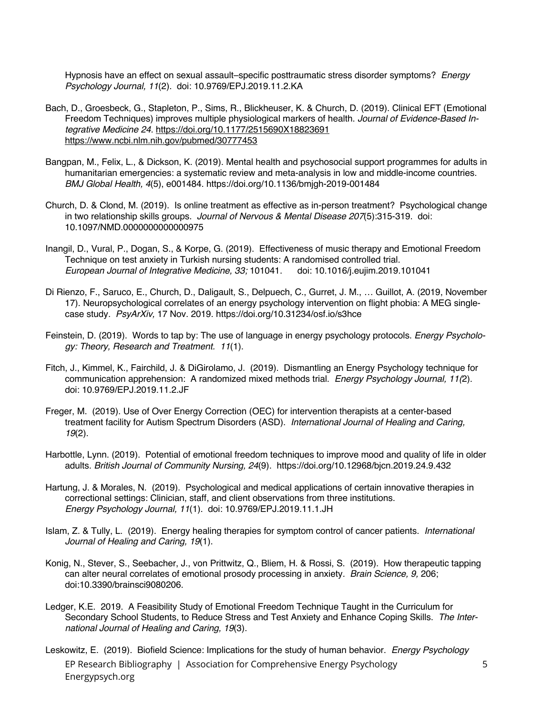Hypnosis have an effect on sexual assault–specific posttraumatic stress disorder symptoms? *Energy Psychology Journal, 11*(2). doi: 10.9769/EPJ.2019.11.2.KA

- Bach, D., Groesbeck, G., Stapleton, P., Sims, R., Blickheuser, K. & Church, D. (2019). Clinical EFT (Emotional Freedom Techniques) improves multiple physiological markers of health. *Journal of Evidence-Based Integrative Medicine 24.* https://doi.org/10.1177/2515690X18823691 https://www.ncbi.nlm.nih.gov/pubmed/30777453
- Bangpan, M., Felix, L., & Dickson, K. (2019). Mental health and psychosocial support programmes for adults in humanitarian emergencies: a systematic review and meta-analysis in low and middle-income countries. *BMJ Global Health, 4*(5), e001484. https://doi.org/10.1136/bmjgh-2019-001484
- Church, D. & Clond, M. (2019). Is online treatment as effective as in-person treatment? Psychological change in two relationship skills groups. *Journal of Nervous & Mental Disease 207*(5):315-319. doi: 10.1097/NMD.0000000000000975
- Inangil, D., Vural, P., Dogan, S., & Korpe, G. (2019). Effectiveness of music therapy and Emotional Freedom Technique on test anxiety in Turkish nursing students: A randomised controlled trial. *European Journal of Integrative Medicine, 33;* 101041. doi: 10.1016/j.eujim.2019.101041
- Di Rienzo, F., Saruco, E., Church, D., Daligault, S., Delpuech, C., Gurret, J. M., … Guillot, A. (2019, November 17). Neuropsychological correlates of an energy psychology intervention on flight phobia: A MEG singlecase study*. PsyArXiv,* 17 Nov. 2019. https://doi.org/10.31234/osf.io/s3hce
- Feinstein, D. (2019). Words to tap by: The use of language in energy psychology protocols. *Energy Psychology: Theory, Research and Treatment. 11*(1).
- Fitch, J., Kimmel, K., Fairchild, J. & DiGirolamo, J. (2019). Dismantling an Energy Psychology technique for communication apprehension: A randomized mixed methods trial. *Energy Psychology Journal, 11(*2). doi: 10.9769/EPJ.2019.11.2.JF
- Freger, M. (2019). Use of Over Energy Correction (OEC) for intervention therapists at a center-based treatment facility for Autism Spectrum Disorders (ASD). *International Journal of Healing and Caring, 19*(2).
- Harbottle, Lynn. (2019). Potential of emotional freedom techniques to improve mood and quality of life in older adults. *British Journal of Community Nursing, 24*(9). https://doi.org/10.12968/bjcn.2019.24.9.432
- Hartung, J. & Morales, N. (2019). Psychological and medical applications of certain innovative therapies in correctional settings: Clinician, staff, and client observations from three institutions. *Energy Psychology Journal, 11*(1). doi: 10.9769/EPJ.2019.11.1.JH
- Islam, Z. & Tully, L. (2019). Energy healing therapies for symptom control of cancer patients. *International Journal of Healing and Caring, 19*(1).
- Konig, N., Stever, S., Seebacher, J., von Prittwitz, Q., Bliem, H. & Rossi, S. (2019). How therapeutic tapping can alter neural correlates of emotional prosody processing in anxiety*. Brain Science, 9,* 206; doi:10.3390/brainsci9080206.
- Ledger, K.E. 2019. A Feasibility Study of Emotional Freedom Technique Taught in the Curriculum for Secondary School Students, to Reduce Stress and Test Anxiety and Enhance Coping Skills. *The International Journal of Healing and Caring, 19*(3).
- EP Research Bibliography | Association for Comprehensive Energy Psychology Energypsych.org Leskowitz, E. (2019). Biofield Science: Implications for the study of human behavior. *Energy Psychology*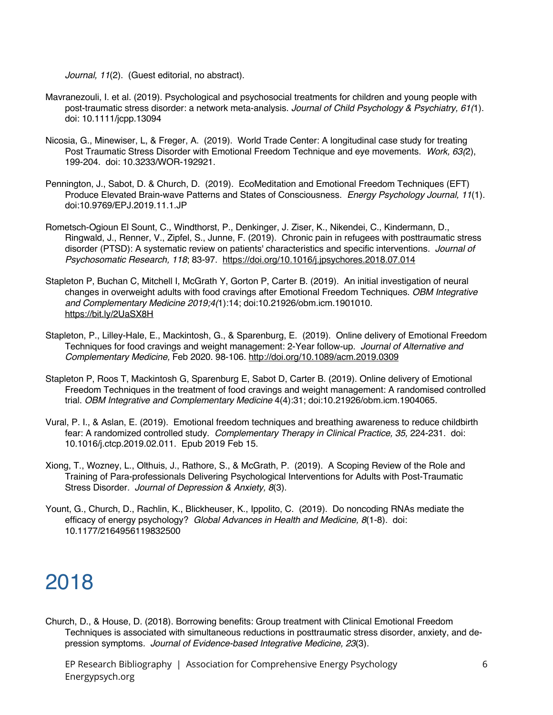*Journal, 11*(2). (Guest editorial, no abstract).

- Mavranezouli, I. et al. (2019). Psychological and psychosocial treatments for children and young people with post-traumatic stress disorder: a network meta-analysis. *Journal of Child Psychology & Psychiatry, 61(*1). doi: 10.1111/jcpp.13094
- Nicosia, G., Minewiser, L, & Freger, A. (2019). World Trade Center: A longitudinal case study for treating Post Traumatic Stress Disorder with Emotional Freedom Technique and eye movements. *Work, 63(*2), 199-204. doi: 10.3233/WOR-192921.
- Pennington, J., Sabot, D. & Church, D. (2019). EcoMeditation and Emotional Freedom Techniques (EFT) Produce Elevated Brain-wave Patterns and States of Consciousness. *Energy Psychology Journal, 11*(1). doi:10.9769/EPJ.2019.11.1.JP
- Rometsch-Ogioun El Sount, C., Windthorst, P., Denkinger, J. Ziser, K., Nikendei, C., Kindermann, D., Ringwald, J., Renner, V., Zipfel, S., Junne, F. (2019). Chronic pain in refugees with posttraumatic stress disorder (PTSD): A systematic review on patients' characteristics and specific interventions*. Journal of Psychosomatic Research, 118*; 83-97. https://doi.org/10.1016/j.jpsychores.2018.07.014
- Stapleton P, Buchan C, Mitchell I, McGrath Y, Gorton P, Carter B. (2019). An initial investigation of neural changes in overweight adults with food cravings after Emotional Freedom Techniques. *OBM Integrative and Complementary Medicine 2019;4(*1):14; doi:10.21926/obm.icm.1901010. https://bit.ly/2UaSX8H
- Stapleton, P., Lilley-Hale, E., Mackintosh, G., & Sparenburg, E. (2019). Online delivery of Emotional Freedom Techniques for food cravings and weight management: 2-Year follow-up. *Journal of Alternative and Complementary Medicine,* Feb 2020. 98-106. http://doi.org/10.1089/acm.2019.0309
- Stapleton P, Roos T, Mackintosh G, Sparenburg E, Sabot D, Carter B. (2019). Online delivery of Emotional Freedom Techniques in the treatment of food cravings and weight management: A randomised controlled trial. *OBM Integrative and Complementary Medicine* 4(4):31; doi:10.21926/obm.icm.1904065.
- Vural, P. I., & Aslan, E. (2019). Emotional freedom techniques and breathing awareness to reduce childbirth fear: A randomized controlled study. Complementary Therapy in Clinical Practice, 35, 224-231. doi: 10.1016/j.ctcp.2019.02.011. Epub 2019 Feb 15.
- Xiong, T., Wozney, L., Olthuis, J., Rathore, S., & McGrath, P. (2019). A Scoping Review of the Role and Training of Para-professionals Delivering Psychological Interventions for Adults with Post-Traumatic Stress Disorder*. Journal of Depression & Anxiety, 8*(3).
- Yount, G., Church, D., Rachlin, K., Blickheuser, K., Ippolito, C. (2019). Do noncoding RNAs mediate the efficacy of energy psychology? *Global Advances in Health and Medicine, 8*(1-8). doi: 10.1177/2164956119832500

## 2018

Church, D., & House, D. (2018). Borrowing benefits: Group treatment with Clinical Emotional Freedom Techniques is associated with simultaneous reductions in posttraumatic stress disorder, anxiety, and depression symptoms*. Journal of Evidence-based Integrative Medicine, 23*(3).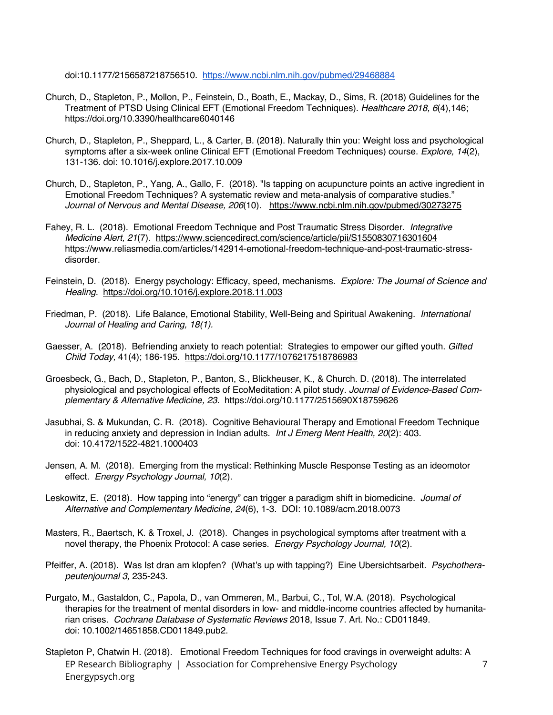doi:10.1177/2156587218756510. https://www.ncbi.nlm.nih.gov/pubmed/29468884

- Church, D., Stapleton, P., Mollon, P., Feinstein, D., Boath, E., Mackay, D., Sims, R. (2018) Guidelines for the Treatment of PTSD Using Clinical EFT (Emotional Freedom Techniques). *Healthcare 2018, 6*(4),146; https://doi.org/10.3390/healthcare6040146
- Church, D., Stapleton, P., Sheppard, L., & Carter, B. (2018). Naturally thin you: Weight loss and psychological symptoms after a six-week online Clinical EFT (Emotional Freedom Techniques) course. *Explore, 14*(2), 131-136. doi: 10.1016/j.explore.2017.10.009
- Church, D., Stapleton, P., Yang, A., Gallo, F. (2018). "Is tapping on acupuncture points an active ingredient in Emotional Freedom Techniques? A systematic review and meta-analysis of comparative studies." *Journal of Nervous and Mental Disease, 206*(10). https://www.ncbi.nlm.nih.gov/pubmed/30273275
- Fahey, R. L. (2018). Emotional Freedom Technique and Post Traumatic Stress Disorder*. Integrative Medicine Alert, 21*(7). https://www.sciencedirect.com/science/article/pii/S1550830716301604 https://www.reliasmedia.com/articles/142914-emotional-freedom-technique-and-post-traumatic-stressdisorder.
- Feinstein, D. (2018). Energy psychology: Efficacy, speed, mechanisms. *Explore: The Journal of Science and Healing.* https://doi.org/10.1016/j.explore.2018.11.003
- Friedman, P. (2018). Life Balance, Emotional Stability, Well-Being and Spiritual Awakening. *International Journal of Healing and Caring, 18(1).*
- Gaesser, A. (2018). Befriending anxiety to reach potential: Strategies to empower our gifted youth. *Gifted Child Today,* 41(4); 186-195. https://doi.org/10.1177/1076217518786983
- Groesbeck, G., Bach, D., Stapleton, P., Banton, S., Blickheuser, K., & Church. D. (2018). The interrelated physiological and psychological effects of EcoMeditation: A pilot study*. Journal of Evidence-Based Complementary & Alternative Medicine, 23.* https://doi.org/10.1177/2515690X18759626
- Jasubhai, S. & Mukundan, C. R. (2018). Cognitive Behavioural Therapy and Emotional Freedom Technique in reducing anxiety and depression in Indian adults. *Int J Emerg Ment Health, 20*(2): 403. doi: 10.4172/1522-4821.1000403
- Jensen, A. M. (2018). Emerging from the mystical: Rethinking Muscle Response Testing as an ideomotor effect. *Energy Psychology Journal, 10*(2).
- Leskowitz, E. (2018). How tapping into "energy" can trigger a paradigm shift in biomedicine. *Journal of Alternative and Complementary Medicine, 24*(6), 1-3. DOI: 10.1089/acm.2018.0073
- Masters, R., Baertsch, K. & Troxel, J. (2018). Changes in psychological symptoms after treatment with a novel therapy, the Phoenix Protocol: A case series. *Energy Psychology Journal, 10*(2).
- Pfeiffer, A. (2018). Was Ist dran am klopfen? (What's up with tapping?) Eine Ubersichtsarbeit*. Psychotherapeutenjournal 3,* 235-243.
- Purgato, M., Gastaldon, C., Papola, D., van Ommeren, M., Barbui, C., Tol, W.A. (2018). Psychological therapies for the treatment of mental disorders in low- and middle-income countries affected by humanitarian crises. *Cochrane Database of Systematic Reviews* 2018, Issue 7. Art. No.: CD011849. doi: 10.1002/14651858.CD011849.pub2.
- EP Research Bibliography | Association for Comprehensive Energy Psychology Energypsych.org Stapleton P, Chatwin H. (2018). Emotional Freedom Techniques for food cravings in overweight adults: A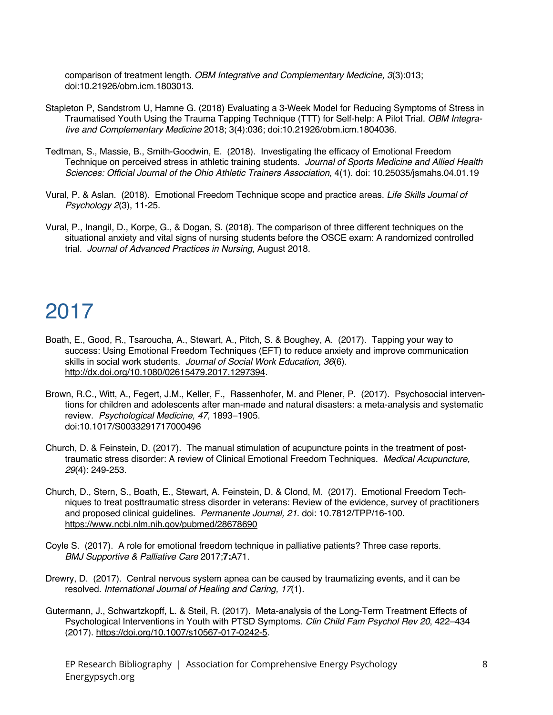comparison of treatment length. *OBM Integrative and Complementary Medicine, 3*(3):013; doi:10.21926/obm.icm.1803013.

- Stapleton P, Sandstrom U, Hamne G. (2018) Evaluating a 3-Week Model for Reducing Symptoms of Stress in Traumatised Youth Using the Trauma Tapping Technique (TTT) for Self-help: A Pilot Trial. *OBM Integrative and Complementary Medicine* 2018; 3(4):036; doi:10.21926/obm.icm.1804036.
- Tedtman, S., Massie, B., Smith-Goodwin, E. (2018). Investigating the efficacy of Emotional Freedom Technique on perceived stress in athletic training students. *Journal of Sports Medicine and Allied Health Sciences: Official Journal of the Ohio Athletic Trainers Association*, 4(1). doi: 10.25035/jsmahs.04.01.19
- Vural, P. & Aslan. (2018). Emotional Freedom Technique scope and practice areas. *Life Skills Journal of Psychology 2*(3), 11-25.
- Vural, P., Inangil, D., Korpe, G., & Dogan, S. (2018). The comparison of three different techniques on the situational anxiety and vital signs of nursing students before the OSCE exam: A randomized controlled trial. *Journal of Advanced Practices in Nursing,* August 2018.

# 2017

- Boath, E., Good, R., Tsaroucha, A., Stewart, A., Pitch, S. & Boughey, A. (2017). Tapping your way to success: Using Emotional Freedom Techniques (EFT) to reduce anxiety and improve communication skills in social work students. *Journal of Social Work Education, 36*(6). http://dx.doi.org/10.1080/02615479.2017.1297394.
- Brown, R.C., Witt, A., Fegert, J.M., Keller, F., Rassenhofer, M. and Plener, P. (2017). Psychosocial interventions for children and adolescents after man-made and natural disasters: a meta-analysis and systematic review. *Psychological Medicine, 47,* 1893–1905. doi:10.1017/S0033291717000496
- Church, D. & Feinstein, D. (2017). The manual stimulation of acupuncture points in the treatment of posttraumatic stress disorder: A review of Clinical Emotional Freedom Techniques. *Medical Acupuncture, 29*(4): 249-253.
- Church, D., Stern, S., Boath, E., Stewart, A. Feinstein, D. & Clond, M. (2017). Emotional Freedom Techniques to treat posttraumatic stress disorder in veterans: Review of the evidence, survey of practitioners and proposed clinical guidelines. *Permanente Journal, 21*. doi: 10.7812/TPP/16-100. https://www.ncbi.nlm.nih.gov/pubmed/28678690
- Coyle S. (2017). A role for emotional freedom technique in palliative patients? Three case reports. *BMJ Supportive & Palliative Care* 2017;**7:**A71.
- Drewry, D. (2017). Central nervous system apnea can be caused by traumatizing events, and it can be resolved. *International Journal of Healing and Caring, 17*(1).
- Gutermann, J., Schwartzkopff, L. & Steil, R. (2017). Meta-analysis of the Long-Term Treatment Effects of Psychological Interventions in Youth with PTSD Symptoms. *Clin Child Fam Psychol Rev 20*, 422–434 (2017). https://doi.org/10.1007/s10567-017-0242-5.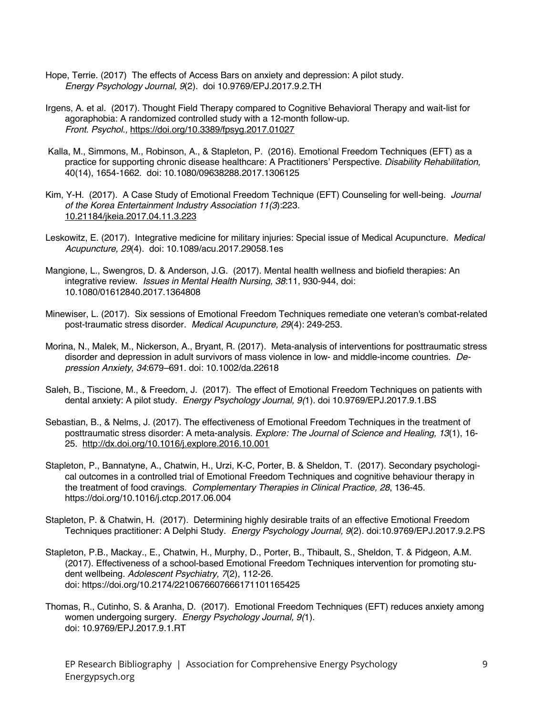- Hope, Terrie. (2017) The effects of Access Bars on anxiety and depression: A pilot study. *Energy Psychology Journal, 9*(2). doi 10.9769/EPJ.2017.9.2.TH
- Irgens, A. et al. (2017). Thought Field Therapy compared to Cognitive Behavioral Therapy and wait-list for agoraphobia: A randomized controlled study with a 12-month follow-up. *Front. Psychol.,* https://doi.org/10.3389/fpsyg.2017.01027
- Kalla, M., Simmons, M., Robinson, A., & Stapleton, P. (2016). Emotional Freedom Techniques (EFT) as a practice for supporting chronic disease healthcare: A Practitioners' Perspective. *Disability Rehabilitation,* 40(14), 1654-1662. doi: 10.1080/09638288.2017.1306125
- Kim, Y-H. (2017). A Case Study of Emotional Freedom Technique (EFT) Counseling for well-being. *Journal of the Korea Entertainment Industry Association 11(3*):223. 10.21184/jkeia.2017.04.11.3.223
- Leskowitz, E. (2017). Integrative medicine for military injuries: Special issue of Medical Acupuncture. *Medical Acupuncture, 29*(4). doi: 10.1089/acu.2017.29058.1es
- Mangione, L., Swengros, D. & Anderson, J.G. (2017). Mental health wellness and biofield therapies: An integrative review. *Issues in Mental Health Nursing, 38*:11, 930-944, doi: 10.1080/01612840.2017.1364808
- Minewiser, L. (2017). Six sessions of Emotional Freedom Techniques remediate one veteran's combat-related post-traumatic stress disorder. *Medical Acupuncture, 29*(4): 249-253.
- Morina, N., Malek, M., Nickerson, A., Bryant, R. (2017). Meta-analysis of interventions for posttraumatic stress disorder and depression in adult survivors of mass violence in low- and middle-income countries. *Depression Anxiety, 34*:679–691. doi: 10.1002/da.22618
- Saleh, B., Tiscione, M., & Freedom, J. (2017). The effect of Emotional Freedom Techniques on patients with dental anxiety: A pilot study. *Energy Psychology Journal, 9(*1). doi 10.9769/EPJ.2017.9.1.BS
- Sebastian, B., & Nelms, J. (2017). The effectiveness of Emotional Freedom Techniques in the treatment of posttraumatic stress disorder: A meta-analysis. *Explore: The Journal of Science and Healing, 13*(1), 16- 25. http://dx.doi.org/10.1016/j.explore.2016.10.001
- Stapleton, P., Bannatyne, A., Chatwin, H., Urzi, K-C, Porter, B. & Sheldon, T. (2017). Secondary psychological outcomes in a controlled trial of Emotional Freedom Techniques and cognitive behaviour therapy in the treatment of food cravings. *Complementary Therapies in Clinical Practice, 28*, 136-45. https://doi.org/10.1016/j.ctcp.2017.06.004
- Stapleton, P. & Chatwin, H. (2017). Determining highly desirable traits of an effective Emotional Freedom Techniques practitioner: A Delphi Study. *Energy Psychology Journal, 9*(2). doi:10.9769/EPJ.2017.9.2.PS
- Stapleton, P.B., Mackay., E., Chatwin, H., Murphy, D., Porter, B., Thibault, S., Sheldon, T. & Pidgeon, A.M. (2017). Effectiveness of a school-based Emotional Freedom Techniques intervention for promoting student wellbeing. *Adolescent Psychiatry, 7*(2), 112-26. doi: https://doi.org/10.2174/2210676607666171101165425
- Thomas, R., Cutinho, S. & Aranha, D. (2017). Emotional Freedom Techniques (EFT) reduces anxiety among women undergoing surgery. *Energy Psychology Journal, 9(*1). doi: 10.9769/EPJ.2017.9.1.RT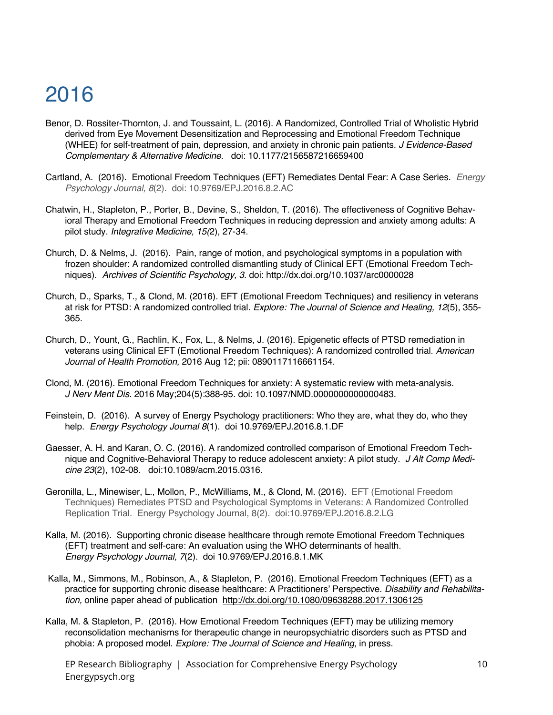- Benor, D. Rossiter-Thornton, J. and Toussaint, L. (2016). A Randomized, Controlled Trial of Wholistic Hybrid derived from Eye Movement Desensitization and Reprocessing and Emotional Freedom Technique (WHEE) for self-treatment of pain, depression, and anxiety in chronic pain patients. *J Evidence-Based Complementary & Alternative Medicine*. doi: 10.1177/2156587216659400
- Cartland, A. (2016). Emotional Freedom Techniques (EFT) Remediates Dental Fear: A Case Series. *Energy Psychology Journal, 8*(2). doi: 10.9769/EPJ.2016.8.2.AC
- Chatwin, H., Stapleton, P., Porter, B., Devine, S., Sheldon, T. (2016). The effectiveness of Cognitive Behavioral Therapy and Emotional Freedom Techniques in reducing depression and anxiety among adults: A pilot study. *Integrative Medicine, 15(*2), 27-34.
- Church, D. & Nelms, J. (2016). Pain, range of motion, and psychological symptoms in a population with frozen shoulder: A randomized controlled dismantling study of Clinical EFT (Emotional Freedom Techniques). *Archives of Scientific Psychology, 3*. doi: http://dx.doi.org/10.1037/arc0000028
- Church, D., Sparks, T., & Clond, M. (2016). EFT (Emotional Freedom Techniques) and resiliency in veterans at risk for PTSD: A randomized controlled trial. *Explore: The Journal of Science and Healing, 12*(5), 355- 365.
- Church, D., Yount, G., Rachlin, K., Fox, L., & Nelms, J. (2016). Epigenetic effects of PTSD remediation in veterans using Clinical EFT (Emotional Freedom Techniques): A randomized controlled trial. *American Journal of Health Promotion,* 2016 Aug 12; pii: 0890117116661154.
- Clond, M. (2016). Emotional Freedom Techniques for anxiety: A systematic review with meta-analysis. *J Nerv Ment Dis.* 2016 May;204(5):388-95. doi: 10.1097/NMD.0000000000000483.
- Feinstein, D. (2016). A survey of Energy Psychology practitioners: Who they are, what they do, who they help. *Energy Psychology Journal 8*(1). doi 10.9769/EPJ.2016.8.1.DF
- Gaesser, A. H. and Karan, O. C. (2016). A randomized controlled comparison of Emotional Freedom Technique and Cognitive-Behavioral Therapy to reduce adolescent anxiety: A pilot study. *J Alt Comp Medicine 23*(2), 102-08. doi:10.1089/acm.2015.0316.
- Geronilla, L., Minewiser, L., Mollon, P., McWilliams, M., & Clond, M. (2016). EFT (Emotional Freedom Techniques) Remediates PTSD and Psychological Symptoms in Veterans: A Randomized Controlled Replication Trial. Energy Psychology Journal, 8(2). doi:10.9769/EPJ.2016.8.2.LG
- Kalla, M. (2016). Supporting chronic disease healthcare through remote Emotional Freedom Techniques (EFT) treatment and self-care: An evaluation using the WHO determinants of health. *Energy Psychology Journal, 7*(2). doi 10.9769/EPJ.2016.8.1.MK
- Kalla, M., Simmons, M., Robinson, A., & Stapleton, P. (2016). Emotional Freedom Techniques (EFT) as a practice for supporting chronic disease healthcare: A Practitioners' Perspective. *Disability and Rehabilitation,* online paper ahead of publication http://dx.doi.org/10.1080/09638288.2017.1306125
- Kalla, M. & Stapleton, P. (2016). How Emotional Freedom Techniques (EFT) may be utilizing memory reconsolidation mechanisms for therapeutic change in neuropsychiatric disorders such as PTSD and phobia: A proposed model. *Explore: The Journal of Science and Healing*, in press.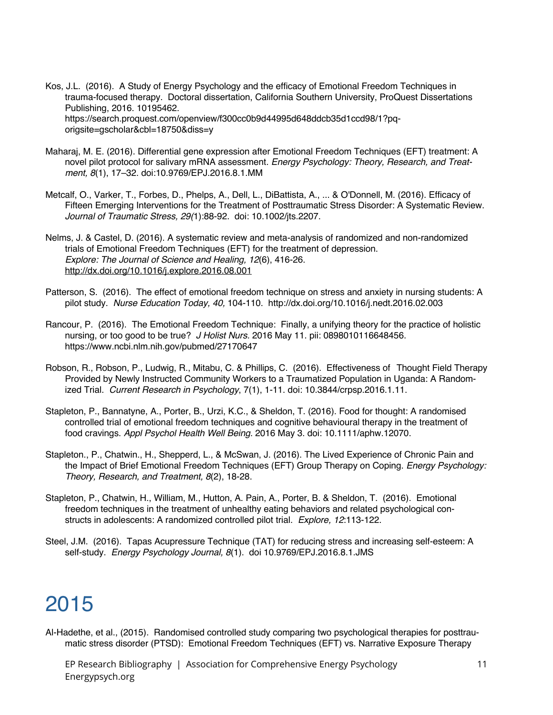Kos, J.L. (2016). A Study of Energy Psychology and the efficacy of Emotional Freedom Techniques in trauma-focused therapy. Doctoral dissertation, California Southern University, ProQuest Dissertations Publishing, 2016. 10195462. https://search.proquest.com/openview/f300cc0b9d44995d648ddcb35d1ccd98/1?pqorigsite=gscholar&cbl=18750&diss=y

- Maharaj, M. E. (2016). Differential gene expression after Emotional Freedom Techniques (EFT) treatment: A novel pilot protocol for salivary mRNA assessment*. Energy Psychology: Theory, Research, and Treatment, 8*(1), 17–32. doi:10.9769/EPJ.2016.8.1.MM
- Metcalf, O., Varker, T., Forbes, D., Phelps, A., Dell, L., DiBattista, A., ... & O'Donnell, M. (2016). Efficacy of Fifteen Emerging Interventions for the Treatment of Posttraumatic Stress Disorder: A Systematic Review. *Journal of Traumatic Stress, 29(*1):88-92. doi: 10.1002/jts.2207.
- Nelms, J. & Castel, D. (2016). A systematic review and meta-analysis of randomized and non-randomized trials of Emotional Freedom Techniques (EFT) for the treatment of depression. *Explore: The Journal of Science and Healing, 12*(6), 416-26. http://dx.doi.org/10.1016/j.explore.2016.08.001
- Patterson, S. (2016). The effect of emotional freedom technique on stress and anxiety in nursing students: A pilot study. *Nurse Education Today, 40,* 104-110. http://dx.doi.org/10.1016/j.nedt.2016.02.003
- Rancour, P. (2016). The Emotional Freedom Technique: Finally, a unifying theory for the practice of holistic nursing, or too good to be true? *J Holist Nurs.* 2016 May 11. pii: 0898010116648456. https://www.ncbi.nlm.nih.gov/pubmed/27170647
- Robson, R., Robson, P., Ludwig, R., Mitabu, C. & Phillips, C. (2016). Effectiveness of Thought Field Therapy Provided by Newly Instructed Community Workers to a Traumatized Population in Uganda: A Randomized Trial. *Current Research in Psychology*, 7(1), 1-11. doi: 10.3844/crpsp.2016.1.11.
- Stapleton, P., Bannatyne, A., Porter, B., Urzi, K.C., & Sheldon, T. (2016). Food for thought: A randomised controlled trial of emotional freedom techniques and cognitive behavioural therapy in the treatment of food cravings. *Appl Psychol Health Well Being.* 2016 May 3. doi: 10.1111/aphw.12070.
- Stapleton., P., Chatwin., H., Shepperd, L., & McSwan, J. (2016). The Lived Experience of Chronic Pain and the Impact of Brief Emotional Freedom Techniques (EFT) Group Therapy on Coping. *Energy Psychology: Theory, Research, and Treatment, 8*(2), 18-28.
- Stapleton, P., Chatwin, H., William, M., Hutton, A. Pain, A., Porter, B. & Sheldon, T. (2016). Emotional freedom techniques in the treatment of unhealthy eating behaviors and related psychological constructs in adolescents: A randomized controlled pilot trial. *Explore, 12*:113-122.
- Steel, J.M. (2016). Tapas Acupressure Technique (TAT) for reducing stress and increasing self-esteem: A self-study. *Energy Psychology Journal, 8*(1). doi 10.9769/EPJ.2016.8.1.JMS

# 2015

Al-Hadethe, et al., (2015). Randomised controlled study comparing two psychological therapies for posttraumatic stress disorder (PTSD): Emotional Freedom Techniques (EFT) vs. Narrative Exposure Therapy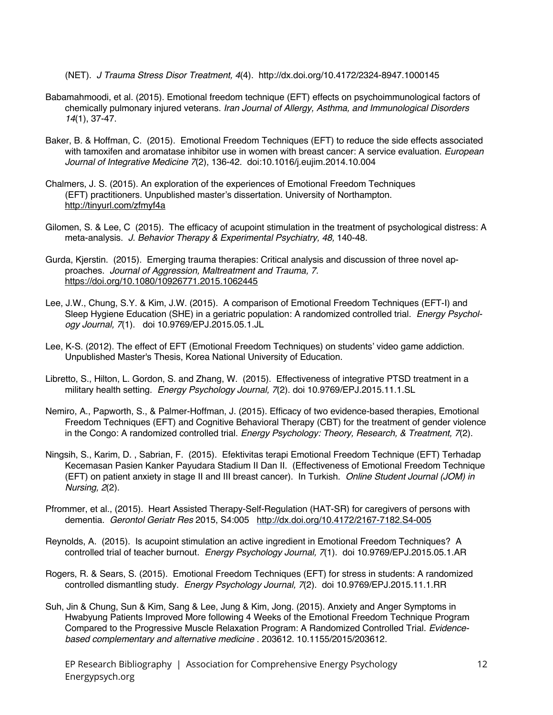(NET). *J Trauma Stress Disor Treatment, 4*(4). http://dx.doi.org/10.4172/2324-8947.1000145

- Babamahmoodi, et al. (2015). Emotional freedom technique (EFT) effects on psychoimmunological factors of chemically pulmonary injured veterans. *Iran Journal of Allergy, Asthma, and Immunological Disorders 14*(1), 37-47.
- Baker, B. & Hoffman, C. (2015). Emotional Freedom Techniques (EFT) to reduce the side effects associated with tamoxifen and aromatase inhibitor use in women with breast cancer: A service evaluation. *European Journal of Integrative Medicine 7*(2), 136-42. doi:10.1016/j.eujim.2014.10.004
- Chalmers, J. S. (2015). An exploration of the experiences of Emotional Freedom Techniques (EFT) practitioners. Unpublished master's dissertation. University of Northampton. http://tinyurl.com/zfmyf4a
- Gilomen, S. & Lee, C (2015). The efficacy of acupoint stimulation in the treatment of psychological distress: A meta-analysis. *J. Behavior Therapy & Experimental Psychiatry, 48,* 140-48.
- Gurda, Kjerstin. (2015). Emerging trauma therapies: Critical analysis and discussion of three novel approaches. *Journal of Aggression, Maltreatment and Trauma, 7.* https://doi.org/10.1080/10926771.2015.1062445
- Lee, J.W., Chung, S.Y. & Kim, J.W. (2015). A comparison of Emotional Freedom Techniques (EFT-I) and Sleep Hygiene Education (SHE) in a geriatric population: A randomized controlled trial. *Energy Psychology Journal, 7*(1). doi 10.9769/EPJ.2015.05.1.JL
- Lee, K-S. (2012). The effect of EFT (Emotional Freedom Techniques) on students' video game addiction. Unpublished Master's Thesis, Korea National University of Education.
- Libretto, S., Hilton, L. Gordon, S. and Zhang, W. (2015). Effectiveness of integrative PTSD treatment in a military health setting. *Energy Psychology Journal, 7*(2). doi 10.9769/EPJ.2015.11.1.SL
- Nemiro, A., Papworth, S., & Palmer-Hoffman, J. (2015). Efficacy of two evidence-based therapies, Emotional Freedom Techniques (EFT) and Cognitive Behavioral Therapy (CBT) for the treatment of gender violence in the Congo: A randomized controlled trial. *Energy Psychology: Theory, Research, & Treatment, 7*(2).
- Ningsih, S., Karim, D. , Sabrian, F. (2015). Efektivitas terapi Emotional Freedom Technique (EFT) Terhadap Kecemasan Pasien Kanker Payudara Stadium II Dan II. (Effectiveness of Emotional Freedom Technique (EFT) on patient anxiety in stage II and III breast cancer). In Turkish. *Online Student Journal (JOM) in Nursing, 2*(2).
- Pfrommer, et al., (2015). Heart Assisted Therapy-Self-Regulation (HAT-SR) for caregivers of persons with dementia. *Gerontol Geriatr Res* 2015, S4:005 http://dx.doi.org/10.4172/2167-7182.S4-005
- Reynolds, A. (2015). Is acupoint stimulation an active ingredient in Emotional Freedom Techniques? A controlled trial of teacher burnout. *Energy Psychology Journal, 7*(1). doi 10.9769/EPJ.2015.05.1.AR
- Rogers, R. & Sears, S. (2015). Emotional Freedom Techniques (EFT) for stress in students: A randomized controlled dismantling study. *Energy Psychology Journal, 7*(2). doi 10.9769/EPJ.2015.11.1.RR
- Suh, Jin & Chung, Sun & Kim, Sang & Lee, Jung & Kim, Jong. (2015). Anxiety and Anger Symptoms in Hwabyung Patients Improved More following 4 Weeks of the Emotional Freedom Technique Program Compared to the Progressive Muscle Relaxation Program: A Randomized Controlled Trial. *Evidencebased complementary and alternative medicine* . 203612. 10.1155/2015/203612.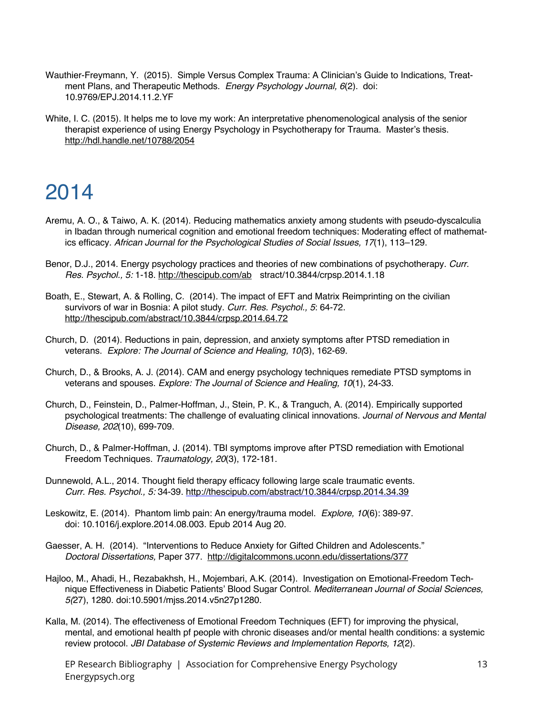- Wauthier-Freymann, Y. (2015). Simple Versus Complex Trauma: A Clinician's Guide to Indications, Treatment Plans, and Therapeutic Methods. *Energy Psychology Journal, 6*(2). doi: 10.9769/EPJ.2014.11.2.YF
- White, I. C. (2015). It helps me to love my work: An interpretative phenomenological analysis of the senior therapist experience of using Energy Psychology in Psychotherapy for Trauma. Master's thesis. http://hdl.handle.net/10788/2054

- Aremu, A. O., & Taiwo, A. K. (2014). Reducing mathematics anxiety among students with pseudo-dyscalculia in Ibadan through numerical cognition and emotional freedom techniques: Moderating effect of mathematics efficacy*. African Journal for the Psychological Studies of Social Issues, 17*(1), 113–129.
- Benor, D.J., 2014. Energy psychology practices and theories of new combinations of psychotherapy. *Curr. Res. Psychol., 5:* 1-18. http://thescipub.com/ab stract/10.3844/crpsp.2014.1.18
- Boath, E., Stewart, A. & Rolling, C. (2014). The impact of EFT and Matrix Reimprinting on the civilian survivors of war in Bosnia: A pilot study. *Curr. Res. Psychol., 5*: 64-72. http://thescipub.com/abstract/10.3844/crpsp.2014.64.72
- Church, D. (2014). Reductions in pain, depression, and anxiety symptoms after PTSD remediation in veterans. *Explore: The Journal of Science and Healing, 10(*3), 162-69.
- Church, D., & Brooks, A. J. (2014). CAM and energy psychology techniques remediate PTSD symptoms in veterans and spouses. *Explore: The Journal of Science and Healing, 10*(1), 24-33.
- Church, D., Feinstein, D., Palmer-Hoffman, J., Stein, P. K., & Tranguch, A. (2014). Empirically supported psychological treatments: The challenge of evaluating clinical innovations. *Journal of Nervous and Mental Disease, 202*(10), 699-709.
- Church, D., & Palmer-Hoffman, J. (2014). TBI symptoms improve after PTSD remediation with Emotional Freedom Techniques. *Traumatology, 20*(3), 172-181.
- Dunnewold, A.L., 2014. Thought field therapy efficacy following large scale traumatic events. *Curr. Res. Psychol., 5:* 34-39. http://thescipub.com/abstract/10.3844/crpsp.2014.34.39
- Leskowitz, E. (2014). Phantom limb pain: An energy/trauma model. *Explore, 10*(6): 389-97. doi: 10.1016/j.explore.2014.08.003. Epub 2014 Aug 20.
- Gaesser, A. H. (2014). "Interventions to Reduce Anxiety for Gifted Children and Adolescents." *Doctoral Dissertations,* Paper 377. http://digitalcommons.uconn.edu/dissertations/377
- Hajloo, M., Ahadi, H., Rezabakhsh, H., Mojembari, A.K. (2014). Investigation on Emotional-Freedom Technique Effectiveness in Diabetic Patients' Blood Sugar Control. *Mediterranean Journal of Social Sciences, 5(*27), 1280. doi:10.5901/mjss.2014.v5n27p1280.
- Kalla, M. (2014). The effectiveness of Emotional Freedom Techniques (EFT) for improving the physical, mental, and emotional health pf people with chronic diseases and/or mental health conditions: a systemic review protocol. *JBI Database of Systemic Reviews and Implementation Reports, 12*(2).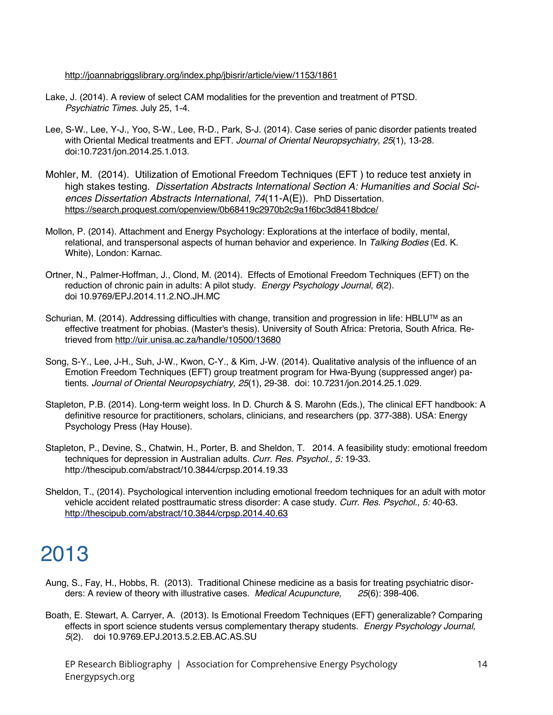#### http://joannabriggslibrary.org/index.php/jbisrir/article/view/1153/1861

- Lake, J. (2014). A review of select CAM modalities for the prevention and treatment of PTSD. *Psychiatric Times.* July 25, 1-4.
- Lee, S-W., Lee, Y-J., Yoo, S-W., Lee, R-D., Park, S-J. (2014). Case series of panic disorder patients treated with Oriental Medical treatments and EFT. *Journal of Oriental Neuropsychiatry, 25*(1), 13-28. doi:10.7231/jon.2014.25.1.013.
- Mohler, M. (2014). Utilization of Emotional Freedom Techniques (EFT ) to reduce test anxiety in high stakes testing. *Dissertation Abstracts International Section A: Humanities and Social Sciences Dissertation Abstracts International, 74*(11-A(E)). PhD Dissertation. https://search.proquest.com/openview/0b68419c2970b2c9a1f6bc3d8418bdce/
- Mollon, P. (2014). Attachment and Energy Psychology: Explorations at the interface of bodily, mental, relational, and transpersonal aspects of human behavior and experience. In *Talking Bodies* (Ed. K. White), London: Karnac.
- Ortner, N., Palmer-Hoffman, J., Clond, M. (2014). Effects of Emotional Freedom Techniques (EFT) on the reduction of chronic pain in adults: A pilot study. *Energy Psychology Journal, 6*(2). doi 10.9769/EPJ.2014.11.2.NO.JH.MC
- Schurian, M. (2014). Addressing difficulties with change, transition and progression in life: HBLU™ as an effective treatment for phobias. (Master's thesis). University of South Africa: Pretoria, South Africa. Retrieved from http://uir.unisa.ac.za/handle/10500/13680
- Song, S-Y., Lee, J-H., Suh, J-W., Kwon, C-Y., & Kim, J-W. (2014). Qualitative analysis of the influence of an Emotion Freedom Techniques (EFT) group treatment program for Hwa-Byung (suppressed anger) patients. *Journal of Oriental Neuropsychiatry, 25*(1), 29-38. doi: 10.7231/jon.2014.25.1.029.
- Stapleton, P.B. (2014). Long-term weight loss. In D. Church & S. Marohn (Eds.), The clinical EFT handbook: A definitive resource for practitioners, scholars, clinicians, and researchers (pp. 377-388). USA: Energy Psychology Press (Hay House).
- Stapleton, P., Devine, S., Chatwin, H., Porter, B. and Sheldon, T. 2014. A feasibility study: emotional freedom techniques for depression in Australian adults*. Curr. Res. Psychol., 5:* 19-33. http://thescipub.com/abstract/10.3844/crpsp.2014.19.33
- Sheldon, T., (2014). Psychological intervention including emotional freedom techniques for an adult with motor vehicle accident related posttraumatic stress disorder: A case study. *Curr. Res. Psychol., 5:* 40-63. http://thescipub.com/abstract/10.3844/crpsp.2014.40.63

# 2013

- Aung, S., Fay, H., Hobbs, R. (2013). Traditional Chinese medicine as a basis for treating psychiatric disorders: A review of theory with illustrative cases. *Medical Acupuncture, 25*(6): 398-406.
- Boath, E. Stewart, A. Carryer, A. (2013). Is Emotional Freedom Techniques (EFT) generalizable? Comparing effects in sport science students versus complementary therapy students. *Energy Psychology Journal, 5*(2). doi 10.9769.EPJ.2013.5.2.EB.AC.AS.SU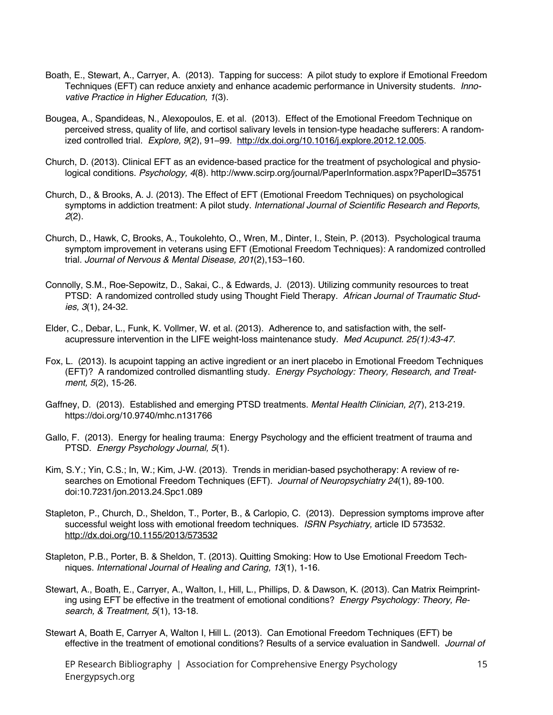- Boath, E., Stewart, A., Carryer, A. (2013). Tapping for success: A pilot study to explore if Emotional Freedom Techniques (EFT) can reduce anxiety and enhance academic performance in University students. *Innovative Practice in Higher Education, 1*(3).
- Bougea, A., Spandideas, N., Alexopoulos, E. et al. (2013). Effect of the Emotional Freedom Technique on perceived stress, quality of life, and cortisol salivary levels in tension-type headache sufferers: A randomized controlled trial. *Explore, 9*(2), 91–99. http://dx.doi.org/10.1016/j.explore.2012.12.005.
- Church, D. (2013). Clinical EFT as an evidence-based practice for the treatment of psychological and physiological conditions. *Psychology, 4*(8). http://www.scirp.org/journal/PaperInformation.aspx?PaperID=35751
- Church, D., & Brooks, A. J. (2013). The Effect of EFT (Emotional Freedom Techniques) on psychological symptoms in addiction treatment: A pilot study. *International Journal of Scientific Research and Reports, 2*(2).
- Church, D., Hawk, C, Brooks, A., Toukolehto, O., Wren, M., Dinter, I., Stein, P. (2013). Psychological trauma symptom improvement in veterans using EFT (Emotional Freedom Techniques): A randomized controlled trial. *Journal of Nervous & Mental Disease, 201*(2),153–160.
- Connolly, S.M., Roe-Sepowitz, D., Sakai, C., & Edwards, J. (2013). Utilizing community resources to treat PTSD: A randomized controlled study using Thought Field Therapy. *African Journal of Traumatic Studies, 3*(1), 24-32.
- Elder, C., Debar, L., Funk, K. Vollmer, W. et al. (2013). Adherence to, and satisfaction with, the selfacupressure intervention in the LIFE weight-loss maintenance study. *Med Acupunct. 25(1):43-47.*
- Fox, L. (2013). Is acupoint tapping an active ingredient or an inert placebo in Emotional Freedom Techniques (EFT)? A randomized controlled dismantling study. *Energy Psychology: Theory, Research, and Treatment, 5*(2), 15-26.
- Gaffney, D. (2013). Established and emerging PTSD treatments. *Mental Health Clinician, 2(*7), 213-219. https://doi.org/10.9740/mhc.n131766
- Gallo, F. (2013). Energy for healing trauma: Energy Psychology and the efficient treatment of trauma and PTSD. *Energy Psychology Journal, 5*(1).
- Kim, S.Y.; Yin, C.S.; In, W.; Kim, J-W. (2013). Trends in meridian-based psychotherapy: A review of researches on Emotional Freedom Techniques (EFT). *Journal of Neuropsychiatry 24*(1), 89-100. doi:10.7231/jon.2013.24.Spc1.089
- Stapleton, P., Church, D., Sheldon, T., Porter, B., & Carlopio, C. (2013). Depression symptoms improve after successful weight loss with emotional freedom techniques. *ISRN Psychiatry,* article ID 573532. http://dx.doi.org/10.1155/2013/573532
- Stapleton, P.B., Porter, B. & Sheldon, T. (2013). Quitting Smoking: How to Use Emotional Freedom Techniques. *International Journal of Healing and Caring, 13*(1), 1-16.
- Stewart, A., Boath, E., Carryer, A., Walton, I., Hill, L., Phillips, D. & Dawson, K. (2013). Can Matrix Reimprinting using EFT be effective in the treatment of emotional conditions? *Energy Psychology: Theory, Research, & Treatment, 5*(1), 13-18.
- Stewart A, Boath E, Carryer A, Walton I, Hill L. (2013). Can Emotional Freedom Techniques (EFT) be effective in the treatment of emotional conditions? Results of a service evaluation in Sandwell. *Journal of*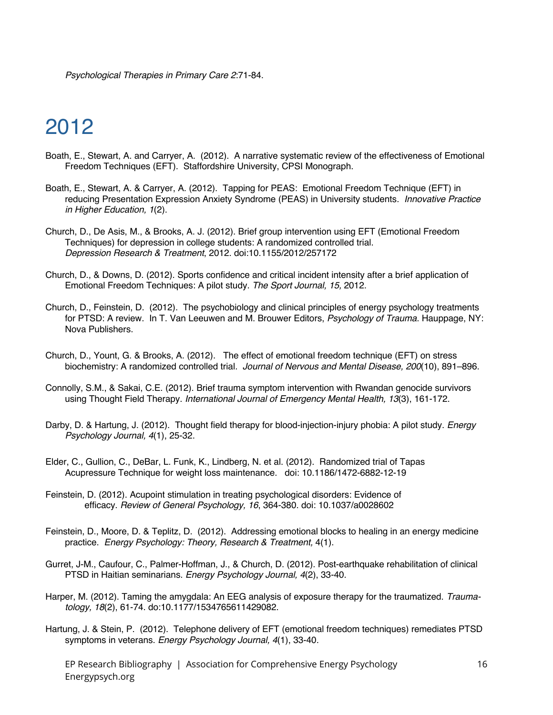*Psychological Therapies in Primary Care 2*:71-84.

# 2012

- Boath, E., Stewart, A. and Carryer, A. (2012). A narrative systematic review of the effectiveness of Emotional Freedom Techniques (EFT). Staffordshire University, CPSI Monograph.
- Boath, E., Stewart, A. & Carryer, A. (2012). Tapping for PEAS: Emotional Freedom Technique (EFT) in reducing Presentation Expression Anxiety Syndrome (PEAS) in University students*. Innovative Practice in Higher Education, 1*(2).
- Church, D., De Asis, M., & Brooks, A. J. (2012). Brief group intervention using EFT (Emotional Freedom Techniques) for depression in college students: A randomized controlled trial. *Depression Research & Treatment*, 2012. doi:10.1155/2012/257172
- Church, D., & Downs, D. (2012). Sports confidence and critical incident intensity after a brief application of Emotional Freedom Techniques: A pilot study. *The Sport Journal, 15,* 2012.
- Church, D., Feinstein, D. (2012). The psychobiology and clinical principles of energy psychology treatments for PTSD: A review. In T. Van Leeuwen and M. Brouwer Editors, *Psychology of Trauma*. Hauppage, NY: Nova Publishers.
- Church, D., Yount, G. & Brooks, A. (2012). The effect of emotional freedom technique (EFT) on stress biochemistry: A randomized controlled trial*. Journal of Nervous and Mental Disease, 200*(10), 891–896.
- Connolly, S.M., & Sakai, C.E. (2012). Brief trauma symptom intervention with Rwandan genocide survivors using Thought Field Therapy. *International Journal of Emergency Mental Health, 13*(3), 161-172.
- Darby, D. & Hartung, J. (2012). Thought field therapy for blood-injection-injury phobia: A pilot study. *Energy Psychology Journal, 4*(1), 25-32.
- Elder, C., Gullion, C., DeBar, L. Funk, K., Lindberg, N. et al. (2012). Randomized trial of Tapas Acupressure Technique for weight loss maintenance. doi: 10.1186/1472-6882-12-19
- Feinstein, D. (2012). Acupoint stimulation in treating psychological disorders: Evidence of efficacy. *Review of General Psychology, 16*, 364-380. doi: 10.1037/a0028602
- Feinstein, D., Moore, D. & Teplitz, D. (2012). Addressing emotional blocks to healing in an energy medicine practice. *Energy Psychology: Theory, Research & Treatment,* 4(1).
- Gurret, J-M., Caufour, C., Palmer-Hoffman, J., & Church, D. (2012). Post-earthquake rehabilitation of clinical PTSD in Haitian seminarians. *Energy Psychology Journal, 4*(2), 33-40.
- Harper, M. (2012). Taming the amygdala: An EEG analysis of exposure therapy for the traumatized. *Traumatology, 18*(2), 61-74. do:10.1177/1534765611429082.
- Hartung, J. & Stein, P. (2012). Telephone delivery of EFT (emotional freedom techniques) remediates PTSD symptoms in veterans. *Energy Psychology Journal, 4*(1), 33-40.
	- EP Research Bibliography | Association for Comprehensive Energy Psychology Energypsych.org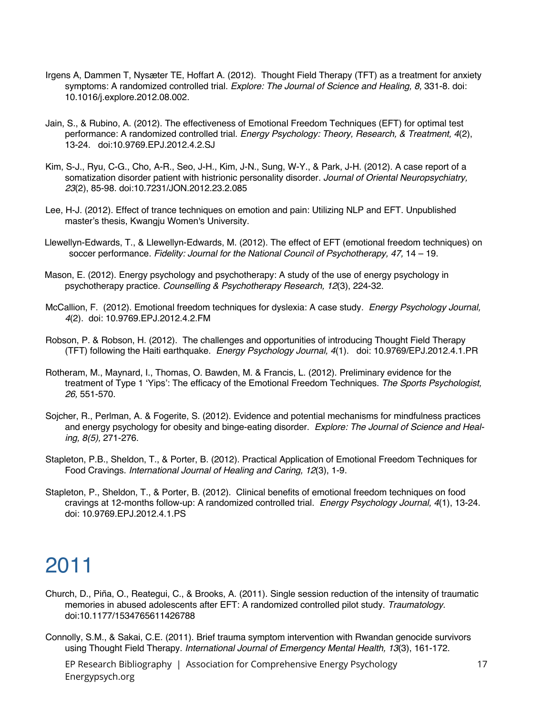- Irgens A, Dammen T, Nysæter TE, Hoffart A. (2012). Thought Field Therapy (TFT) as a treatment for anxiety symptoms: A randomized controlled trial. *Explore: The Journal of Science and Healing, 8,* 331-8. doi: 10.1016/j.explore.2012.08.002.
- Jain, S., & Rubino, A. (2012). The effectiveness of Emotional Freedom Techniques (EFT) for optimal test performance: A randomized controlled trial. *Energy Psychology: Theory, Research, & Treatment, 4*(2), 13-24. doi:10.9769.EPJ.2012.4.2.SJ
- Kim, S-J., Ryu, C-G., Cho, A-R., Seo, J-H., Kim, J-N., Sung, W-Y., & Park, J-H. (2012). A case report of a somatization disorder patient with histrionic personality disorder. *Journal of Oriental Neuropsychiatry, 23*(2), 85-98. doi:10.7231/JON.2012.23.2.085
- Lee, H-J. (2012). Effect of trance techniques on emotion and pain: Utilizing NLP and EFT. Unpublished master's thesis, Kwangju Women's University.
- Llewellyn-Edwards, T., & Llewellyn-Edwards, M. (2012). The effect of EFT (emotional freedom techniques) on soccer performance. *Fidelity: Journal for the National Council of Psychotherapy, 47,* 14 – 19.
- Mason, E. (2012). Energy psychology and psychotherapy: A study of the use of energy psychology in psychotherapy practice. *Counselling & Psychotherapy Research, 12*(3), 224-32.
- McCallion, F. (2012). Emotional freedom techniques for dyslexia: A case study*. Energy Psychology Journal, 4*(2). doi: 10.9769.EPJ.2012.4.2.FM
- Robson, P. & Robson, H. (2012). The challenges and opportunities of introducing Thought Field Therapy (TFT) following the Haiti earthquake. *Energy Psychology Journal, 4*(1). doi: 10.9769/EPJ.2012.4.1.PR
- Rotheram, M., Maynard, I., Thomas, O. Bawden, M. & Francis, L. (2012). Preliminary evidence for the treatment of Type 1 'Yips': The efficacy of the Emotional Freedom Techniques. *The Sports Psychologist, 26,* 551-570.
- Sojcher, R., Perlman, A. & Fogerite, S. (2012). Evidence and potential mechanisms for mindfulness practices and energy psychology for obesity and binge-eating disorder. *Explore: The Journal of Science and Healing, 8(5),* 271-276.
- Stapleton, P.B., Sheldon, T., & Porter, B. (2012). Practical Application of Emotional Freedom Techniques for Food Cravings. *International Journal of Healing and Caring, 12*(3), 1-9.
- Stapleton, P., Sheldon, T., & Porter, B. (2012). Clinical benefits of emotional freedom techniques on food cravings at 12-months follow-up: A randomized controlled trial. *Energy Psychology Journal, 4*(1), 13-24. doi: 10.9769.EPJ.2012.4.1.PS

- Church, D., Piña, O., Reategui, C., & Brooks, A. (2011). Single session reduction of the intensity of traumatic memories in abused adolescents after EFT: A randomized controlled pilot study. *Traumatology.* doi:10.1177/1534765611426788
- Connolly, S.M., & Sakai, C.E. (2011). Brief trauma symptom intervention with Rwandan genocide survivors using Thought Field Therapy. *International Journal of Emergency Mental Health, 13*(3), 161-172.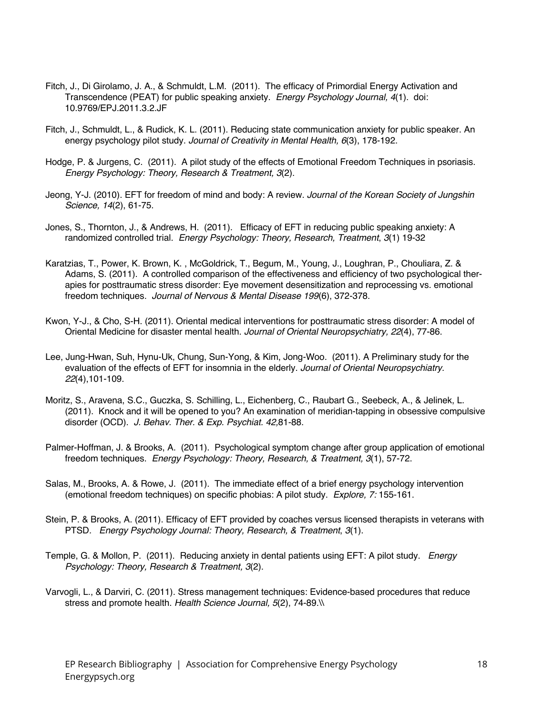- Fitch, J., Di Girolamo, J. A., & Schmuldt, L.M. (2011). The efficacy of Primordial Energy Activation and Transcendence (PEAT) for public speaking anxiety. *Energy Psychology Journal, 4*(1). doi: 10.9769/EPJ.2011.3.2.JF
- Fitch, J., Schmuldt, L., & Rudick, K. L. (2011). Reducing state communication anxiety for public speaker. An energy psychology pilot study. *Journal of Creativity in Mental Health, 6*(3), 178-192.
- Hodge, P. & Jurgens, C. (2011). A pilot study of the effects of Emotional Freedom Techniques in psoriasis. *Energy Psychology: Theory, Research & Treatment, 3*(2).
- Jeong, Y-J. (2010). EFT for freedom of mind and body: A review. *Journal of the Korean Society of Jungshin Science, 14*(2), 61-75.
- Jones, S., Thornton, J., & Andrews, H. (2011). Efficacy of EFT in reducing public speaking anxiety: A randomized controlled trial*. Energy Psychology: Theory, Research, Treatment*, *3*(1) 19-32
- Karatzias, T., Power, K. Brown, K. , McGoldrick, T., Begum, M., Young, J., Loughran, P., Chouliara, Z. & Adams, S. (2011). A controlled comparison of the effectiveness and efficiency of two psychological therapies for posttraumatic stress disorder: Eye movement desensitization and reprocessing vs. emotional freedom techniques*. Journal of Nervous & Mental Disease 199*(6), 372-378.
- Kwon, Y-J., & Cho, S-H. (2011). Oriental medical interventions for posttraumatic stress disorder: A model of Oriental Medicine for disaster mental health. *Journal of Oriental Neuropsychiatry, 22*(4), 77-86.
- Lee, Jung-Hwan, Suh, Hynu-Uk, Chung, Sun-Yong, & Kim, Jong-Woo. (2011). A Preliminary study for the evaluation of the effects of EFT for insomnia in the elderly. *Journal of Oriental Neuropsychiatry. 22*(4),101-109.
- Moritz, S., Aravena, S.C., Guczka, S. Schilling, L., Eichenberg, C., Raubart G., Seebeck, A., & Jelinek, L. (2011). Knock and it will be opened to you? An examination of meridian-tapping in obsessive compulsive disorder (OCD). *J. Behav. Ther. & Exp. Psychiat. 42,*81-88.
- Palmer-Hoffman, J. & Brooks, A. (2011). Psychological symptom change after group application of emotional freedom techniques. *Energy Psychology: Theory, Research, & Treatment, 3*(1), 57-72.
- Salas, M., Brooks, A. & Rowe, J. (2011). The immediate effect of a brief energy psychology intervention (emotional freedom techniques) on specific phobias: A pilot study. *Explore, 7:* 155-161.
- Stein, P. & Brooks, A. (2011). Efficacy of EFT provided by coaches versus licensed therapists in veterans with PTSD*. Energy Psychology Journal: Theory, Research, & Treatment*, *3*(1).
- Temple, G. & Mollon, P. (2011). Reducing anxiety in dental patients using EFT: A pilot study. *Energy Psychology: Theory, Research & Treatment, 3*(2).
- Varvogli, L., & Darviri, C. (2011). Stress management techniques: Evidence-based procedures that reduce stress and promote health. *Health Science Journal, 5*(2), 74-89.\\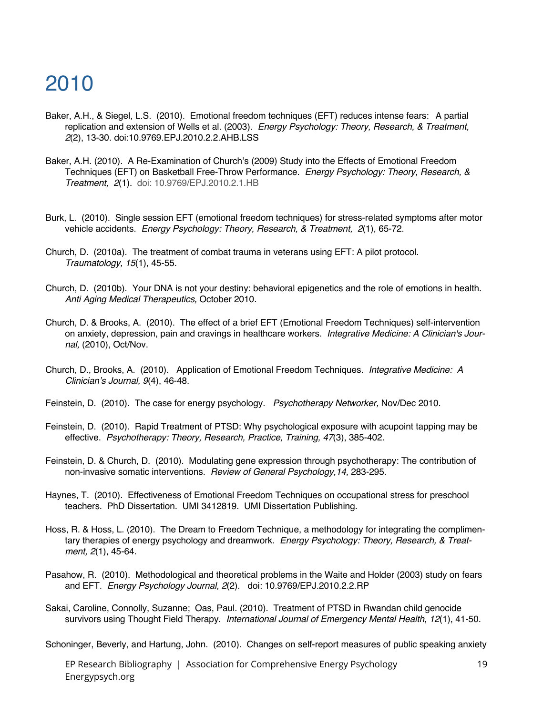- Baker, A.H., & Siegel, L.S. (2010). Emotional freedom techniques (EFT) reduces intense fears: A partial replication and extension of Wells et al. (2003). *Energy Psychology: Theory, Research, & Treatment, 2*(2), 13-30. doi:10.9769.EPJ.2010.2.2.AHB.LSS
- Baker, A.H. (2010). A Re-Examination of Church's (2009) Study into the Effects of Emotional Freedom Techniques (EFT) on Basketball Free-Throw Performance. *Energy Psychology: Theory, Research, & Treatment, 2*(1). doi: 10.9769/EPJ.2010.2.1.HB
- Burk, L. (2010). Single session EFT (emotional freedom techniques) for stress-related symptoms after motor vehicle accidents. *Energy Psychology: Theory, Research, & Treatment, 2*(1), 65-72.
- Church, D. (2010a). The treatment of combat trauma in veterans using EFT: A pilot protocol. *Traumatology, 15*(1), 45-55.
- Church, D. (2010b). Your DNA is not your destiny: behavioral epigenetics and the role of emotions in health. *Anti Aging Medical Therapeutics,* October 2010.
- Church, D. & Brooks, A. (2010). The effect of a brief EFT (Emotional Freedom Techniques) self-intervention on anxiety, depression, pain and cravings in healthcare workers. *Integrative Medicine: A Clinician's Journal,* (2010), Oct/Nov.
- Church, D., Brooks, A. (2010). Application of Emotional Freedom Techniques. *Integrative Medicine: A Clinician's Journal, 9*(4), 46-48.
- Feinstein, D. (2010). The case for energy psychology. *Psychotherapy Networker,* Nov/Dec 2010.
- Feinstein, D. (2010). Rapid Treatment of PTSD: Why psychological exposure with acupoint tapping may be effective. *Psychotherapy: Theory, Research, Practice, Training, 47*(3), 385-402.
- Feinstein, D. & Church, D. (2010). Modulating gene expression through psychotherapy: The contribution of non-invasive somatic interventions. *Review of General Psychology,14,* 283-295.
- Haynes, T. (2010). Effectiveness of Emotional Freedom Techniques on occupational stress for preschool teachers. PhD Dissertation. UMI 3412819. UMI Dissertation Publishing.
- Hoss, R. & Hoss, L. (2010). The Dream to Freedom Technique, a methodology for integrating the complimentary therapies of energy psychology and dreamwork. *Energy Psychology: Theory, Research, & Treatment, 2*(1), 45-64.
- Pasahow, R. (2010). Methodological and theoretical problems in the Waite and Holder (2003) study on fears and EFT. *Energy Psychology Journal, 2*(2). doi: 10.9769/EPJ.2010.2.2.RP
- Sakai, Caroline, Connolly, Suzanne; Oas, Paul. (2010). Treatment of PTSD in Rwandan child genocide survivors using Thought Field Therapy. *International Journal of Emergency Mental Health*, *12*(1), 41-50.
- Schoninger, Beverly, and Hartung, John. (2010). Changes on self-report measures of public speaking anxiety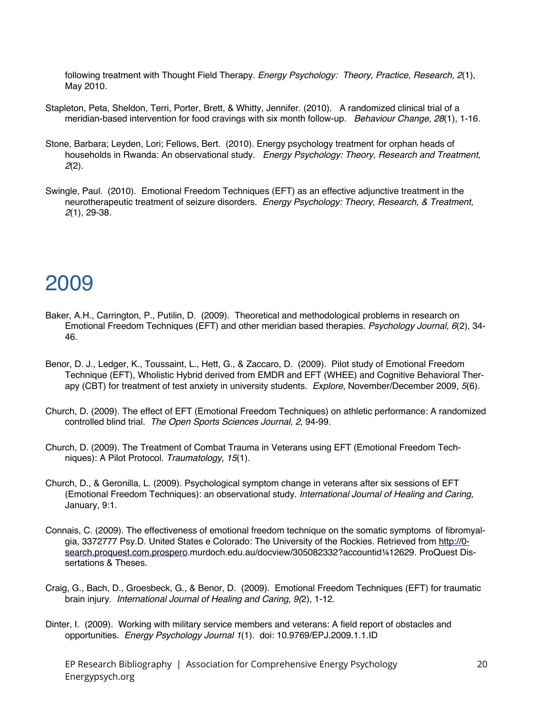following treatment with Thought Field Therapy. *Energy Psychology: Theory, Practice, Research, 2*(1), May 2010.

- Stapleton, Peta, Sheldon, Terri, Porter, Brett, & Whitty, Jennifer. (2010). A randomized clinical trial of a meridian-based intervention for food cravings with six month follow-up. *Behaviour Change, 28*(1), 1-16.
- Stone, Barbara; Leyden, Lori; Fellows, Bert. (2010). Energy psychology treatment for orphan heads of households in Rwanda: An observational study. *Energy Psychology: Theory, Research and Treatment, 2*(2).
- Swingle, Paul. (2010). Emotional Freedom Techniques (EFT) as an effective adjunctive treatment in the neurotherapeutic treatment of seizure disorders. *Energy Psychology: Theory, Research, & Treatment, 2*(1), 29-38.

#### 2009

- Baker, A.H., Carrington, P., Putilin, D. (2009). Theoretical and methodological problems in research on Emotional Freedom Techniques (EFT) and other meridian based therapies. *Psychology Journal, 6*(2), 34- 46.
- Benor, D. J., Ledger, K., Toussaint, L., Hett, G., & Zaccaro, D. (2009). Pilot study of Emotional Freedom Technique (EFT), Wholistic Hybrid derived from EMDR and EFT (WHEE) and Cognitive Behavioral Therapy (CBT) for treatment of test anxiety in university students. *Explore*, November/December 2009*, 5*(6).
- Church, D. (2009). The effect of EFT (Emotional Freedom Techniques) on athletic performance: A randomized controlled blind trial. *The Open Sports Sciences Journal, 2*, 94-99.
- Church, D. (2009). The Treatment of Combat Trauma in Veterans using EFT (Emotional Freedom Techniques): A Pilot Protocol. *Traumatology, 15*(1).
- Church, D., & Geronilla, L. (2009). Psychological symptom change in veterans after six sessions of EFT (Emotional Freedom Techniques): an observational study. *International Journal of Healing and Caring,* January, 9:1.
- Connais, C. (2009). The effectiveness of emotional freedom technique on the somatic symptoms of fibromyalgia, 3372777 Psy.D. United States e Colorado: The University of the Rockies. Retrieved from http://0 search.proquest.com.prospero.murdoch.edu.au/docview/305082332?accountid¼12629. ProQuest Dissertations & Theses.
- Craig, G., Bach, D., Groesbeck, G., & Benor, D. (2009). Emotional Freedom Techniques (EFT) for traumatic brain injury. *International Journal of Healing and Caring*, *9(*2), 1-12.
- Dinter, I. (2009). Working with military service members and veterans: A field report of obstacles and opportunities. *Energy Psychology Journal 1*(1). doi: 10.9769/EPJ.2009.1.1.ID
	- EP Research Bibliography | Association for Comprehensive Energy Psychology Energypsych.org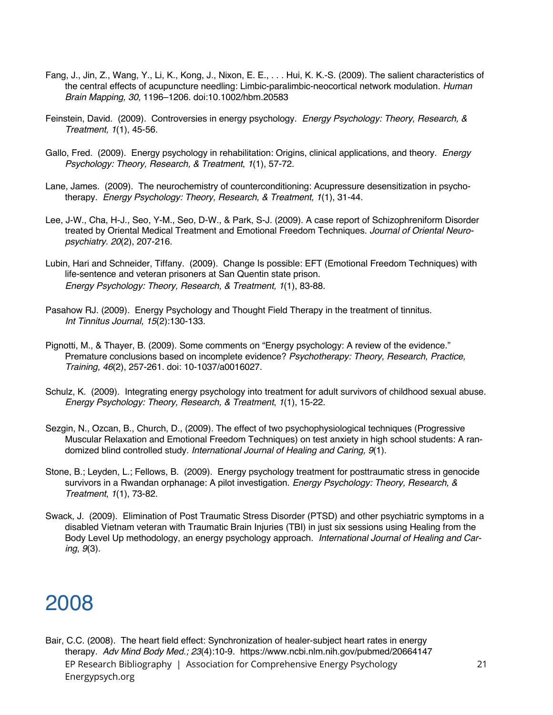- Fang, J., Jin, Z., Wang, Y., Li, K., Kong, J., Nixon, E. E., . . . Hui, K. K.-S. (2009). The salient characteristics of the central effects of acupuncture needling: Limbic-paralimbic-neocortical network modulation. *Human Brain Mapping, 30*, 1196–1206. doi:10.1002/hbm.20583
- Feinstein, David. (2009). Controversies in energy psychology. *Energy Psychology: Theory, Research, & Treatment, 1*(1), 45-56.
- Gallo, Fred. (2009). Energy psychology in rehabilitation: Origins, clinical applications, and theory. *Energy Psychology: Theory, Research, & Treatment*, *1*(1), 57-72.
- Lane, James. (2009). The neurochemistry of counterconditioning: Acupressure desensitization in psychotherapy. *Energy Psychology: Theory, Research, & Treatment, 1*(1), 31-44.
- Lee, J-W., Cha, H-J., Seo, Y-M., Seo, D-W., & Park, S-J. (2009). A case report of Schizophreniform Disorder treated by Oriental Medical Treatment and Emotional Freedom Techniques. *Journal of Oriental Neuropsychiatry. 20*(2), 207-216.
- Lubin, Hari and Schneider, Tiffany. (2009). Change Is possible: EFT (Emotional Freedom Techniques) with life-sentence and veteran prisoners at San Quentin state prison. *Energy Psychology: Theory, Research, & Treatment, 1*(1), 83-88.
- Pasahow RJ. (2009). Energy Psychology and Thought Field Therapy in the treatment of tinnitus. *Int Tinnitus Journal, 15*(2):130-133.
- Pignotti, M., & Thayer, B. (2009). Some comments on "Energy psychology: A review of the evidence." Premature conclusions based on incomplete evidence? *Psychotherapy: Theory, Research, Practice, Training, 46*(2), 257-261. doi: 10-1037/a0016027.
- Schulz, K. (2009). Integrating energy psychology into treatment for adult survivors of childhood sexual abuse. *Energy Psychology: Theory, Research, & Treatment*, *1*(1), 15-22.
- Sezgin, N., Ozcan, B., Church, D., (2009). The effect of two psychophysiological techniques (Progressive Muscular Relaxation and Emotional Freedom Techniques) on test anxiety in high school students: A randomized blind controlled study. *International Journal of Healing and Caring, 9*(1).
- Stone, B.; Leyden, L.; Fellows, B. (2009). Energy psychology treatment for posttraumatic stress in genocide survivors in a Rwandan orphanage: A pilot investigation. *Energy Psychology: Theory, Research, & Treatment*, *1*(1), 73-82.
- Swack, J. (2009). Elimination of Post Traumatic Stress Disorder (PTSD) and other psychiatric symptoms in a disabled Vietnam veteran with Traumatic Brain Injuries (TBI) in just six sessions using Healing from the Body Level Up methodology, an energy psychology approach. *International Journal of Healing and Caring*, *9*(3).

EP Research Bibliography | Association for Comprehensive Energy Psychology Energypsych.org Bair, C.C. (2008). The heart field effect: Synchronization of healer-subject heart rates in energy therapy. *Adv Mind Body Med.; 23*(4):10-9. https://www.ncbi.nlm.nih.gov/pubmed/20664147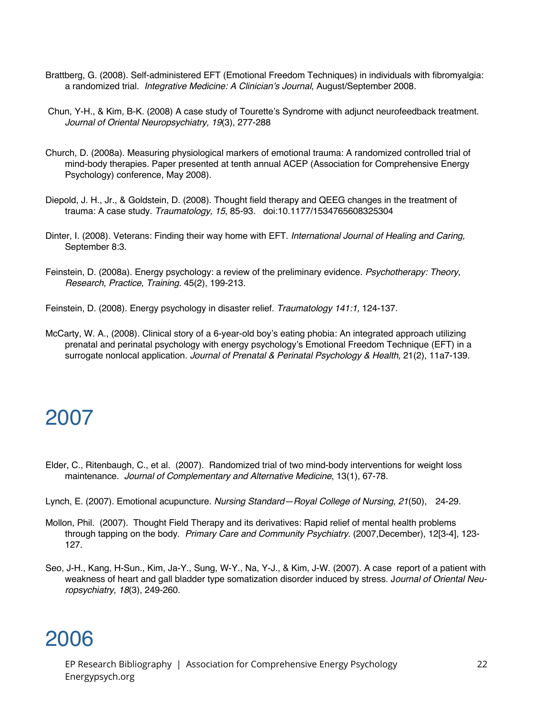- Brattberg, G. (2008). Self-administered EFT (Emotional Freedom Techniques) in individuals with fibromyalgia: a randomized trial. *Integrative Medicine: A Clinician's Journal*, August/September 2008.
- Chun, Y-H., & Kim, B-K. (2008) A case study of Tourette's Syndrome with adjunct neurofeedback treatment. *Journal of Oriental Neuropsychiatry, 19*(3), 277-288
- Church, D. (2008a). Measuring physiological markers of emotional trauma: A randomized controlled trial of mind-body therapies. Paper presented at tenth annual ACEP (Association for Comprehensive Energy Psychology) conference, May 2008).
- Diepold, J. H., Jr., & Goldstein, D. (2008). Thought field therapy and QEEG changes in the treatment of trauma: A case study. *Traumatology, 15*, 85-93. doi:10.1177/1534765608325304
- Dinter, I. (2008). Veterans: Finding their way home with EFT. *International Journal of Healing and Caring,* September 8:3.
- Feinstein, D. (2008a). Energy psychology: a review of the preliminary evidence. *Psychotherapy: Theory, Research, Practice, Training.* 45(2), 199-213.
- Feinstein, D. (2008). Energy psychology in disaster relief. *Traumatology 141:1,* 124-137.
- McCarty, W. A., (2008). Clinical story of a 6-year-old boy's eating phobia: An integrated approach utilizing prenatal and perinatal psychology with energy psychology's Emotional Freedom Technique (EFT) in a surrogate nonlocal application. *Journal of Prenatal & Perinatal Psychology & Health,* 21(2), 11a7-139.

- Elder, C., Ritenbaugh, C., et al. (2007). Randomized trial of two mind-body interventions for weight loss maintenance. *Journal of Complementary and Alternative Medicine*, 13(1), 67-78.
- Lynch, E. (2007). Emotional acupuncture. *Nursing Standard—Royal College of Nursing, 21*(50), 24-29.
- Mollon, Phil. (2007). Thought Field Therapy and its derivatives: Rapid relief of mental health problems through tapping on the body. *Primary Care and Community Psychiatry*. (2007,December), 12[3-4], 123- 127.
- Seo, J-H., Kang, H-Sun., Kim, Ja-Y., Sung, W-Y., Na, Y-J., & Kim, J-W. (2007). A case report of a patient with weakness of heart and gall bladder type somatization disorder induced by stress. J*ournal of Oriental Neuropsychiatry, 18*(3), 249-260.

### 2006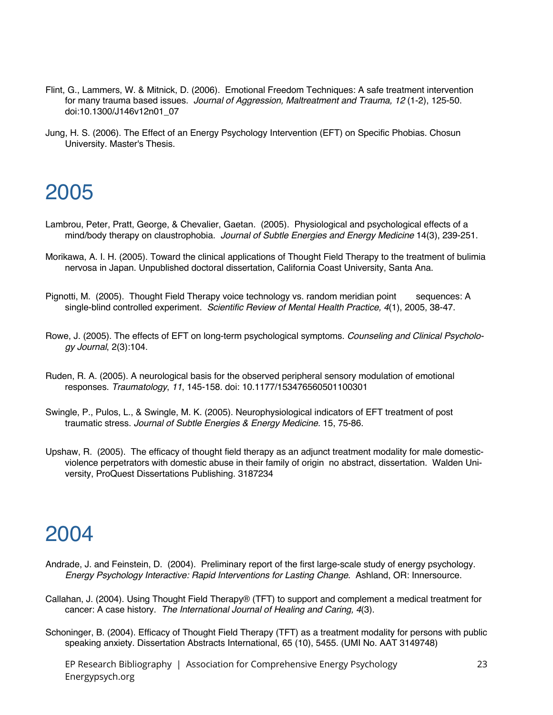- Flint, G., Lammers, W. & Mitnick, D. (2006). Emotional Freedom Techniques: A safe treatment intervention for many trauma based issues. *Journal of Aggression, Maltreatment and Trauma, 12* (1-2), 125-50. doi:10.1300/J146v12n01\_07
- Jung, H. S. (2006). The Effect of an Energy Psychology Intervention (EFT) on Specific Phobias. Chosun University. Master's Thesis.

- Lambrou, Peter, Pratt, George, & Chevalier, Gaetan. (2005). Physiological and psychological effects of a mind/body therapy on claustrophobia. *Journal of Subtle Energies and Energy Medicine* 14(3), 239-251.
- Morikawa, A. I. H. (2005). Toward the clinical applications of Thought Field Therapy to the treatment of bulimia nervosa in Japan. Unpublished doctoral dissertation, California Coast University, Santa Ana.
- Pignotti, M. (2005). Thought Field Therapy voice technology vs. random meridian point sequences: A single-blind controlled experiment. *Scientific Review of Mental Health Practice, 4*(1), 2005, 38-47.
- Rowe, J. (2005). The effects of EFT on long-term psychological symptoms. *Counseling and Clinical Psychology Journal*, 2(3):104.
- Ruden, R. A. (2005). A neurological basis for the observed peripheral sensory modulation of emotional responses. *Traumatology*, *11*, 145-158. doi: 10.1177/153476560501100301
- Swingle, P., Pulos, L., & Swingle, M. K. (2005). Neurophysiological indicators of EFT treatment of post traumatic stress. *Journal of Subtle Energies & Energy Medicine.* 15, 75-86.
- Upshaw, R. (2005). The efficacy of thought field therapy as an adjunct treatment modality for male domesticviolence perpetrators with domestic abuse in their family of origin no abstract, dissertation. Walden University, ProQuest Dissertations Publishing. 3187234

## 2004

- Andrade, J. and Feinstein, D. (2004). Preliminary report of the first large-scale study of energy psychology. *Energy Psychology Interactive: Rapid Interventions for Lasting Change*. Ashland, OR: Innersource.
- Callahan, J. (2004). Using Thought Field Therapy® (TFT) to support and complement a medical treatment for cancer: A case history. *The International Journal of Healing and Caring, 4*(3).
- Schoninger, B. (2004). Efficacy of Thought Field Therapy (TFT) as a treatment modality for persons with public speaking anxiety. Dissertation Abstracts International, 65 (10), 5455. (UMI No. AAT 3149748)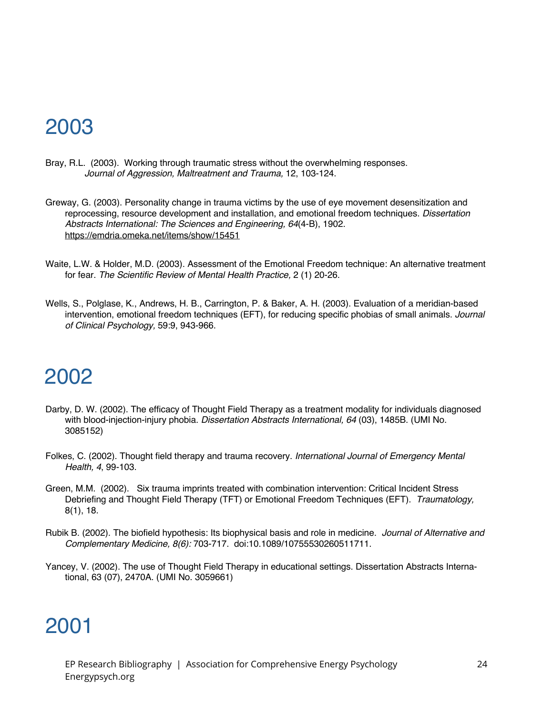- Bray, R.L. (2003). Working through traumatic stress without the overwhelming responses. *Journal of Aggression, Maltreatment and Trauma,* 12, 103-124.
- Greway, G. (2003). Personality change in trauma victims by the use of eye movement desensitization and reprocessing, resource development and installation, and emotional freedom techniques. *Dissertation Abstracts International: The Sciences and Engineering, 64*(4-B), 1902. https://emdria.omeka.net/items/show/15451
- Waite, L.W. & Holder, M.D. (2003). Assessment of the Emotional Freedom technique: An alternative treatment for fear. *The Scientific Review of Mental Health Practice,* 2 (1) 20-26.
- Wells, S., Polglase, K., Andrews, H. B., Carrington, P. & Baker, A. H. (2003). Evaluation of a meridian-based intervention, emotional freedom techniques (EFT), for reducing specific phobias of small animals. *Journal of Clinical Psychology,* 59:9, 943-966.

## 2002

- Darby, D. W. (2002). The efficacy of Thought Field Therapy as a treatment modality for individuals diagnosed with blood-injection-injury phobia. *Dissertation Abstracts International, 64* (03), 1485B. (UMI No. 3085152)
- Folkes, C. (2002). Thought field therapy and trauma recovery. *International Journal of Emergency Mental Health, 4*, 99-103.
- Green, M.M. (2002). Six trauma imprints treated with combination intervention: Critical Incident Stress Debriefing and Thought Field Therapy (TFT) or Emotional Freedom Techniques (EFT). *Traumatology,* 8(1), 18.
- Rubik B. (2002). The biofield hypothesis: Its biophysical basis and role in medicine. *Journal of Alternative and Complementary Medicine, 8(6):* 703-717. doi:10.1089/10755530260511711.
- Yancey, V. (2002). The use of Thought Field Therapy in educational settings. Dissertation Abstracts International, 63 (07), 2470A. (UMI No. 3059661)

### 2001